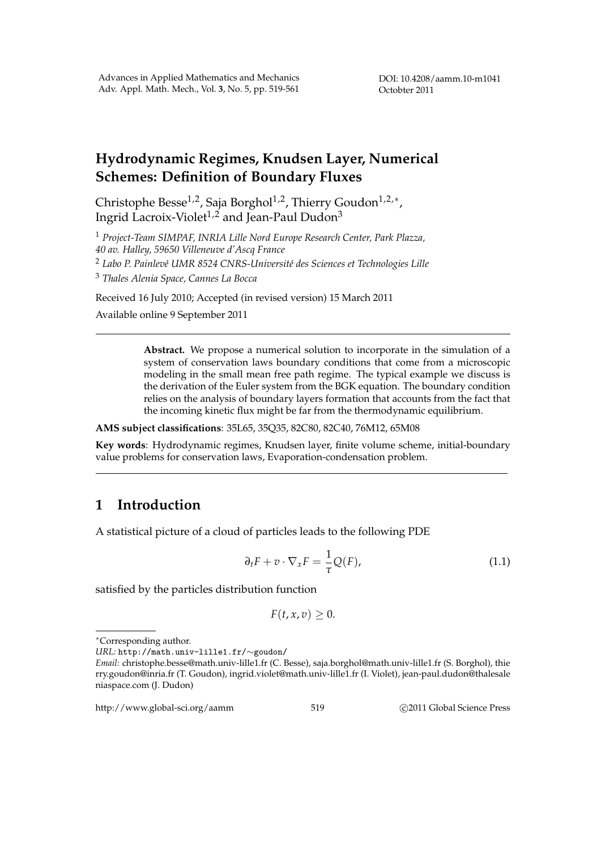DOI: 10.4208/aamm.10-m1041 Octobter 2011

# **Hydrodynamic Regimes, Knudsen Layer, Numerical Schemes: Definition of Boundary Fluxes**

Christophe Besse1,2, Saja Borghol1,2, Thierry Goudon1,2,*<sup>∗</sup>* , Ingrid Lacroix-Violet<sup>1,2</sup> and Jean-Paul Dudon<sup>3</sup>

<sup>1</sup> *Project-Team SIMPAF, INRIA Lille Nord Europe Research Center, Park Plazza, 40 av. Halley, 59650 Villeneuve d'Ascq France*

<sup>2</sup> Labo P. Painlevé UMR 8524 CNRS-Université des Sciences et Technologies Lille

<sup>3</sup> *Thales Alenia Space, Cannes La Bocca*

Received 16 July 2010; Accepted (in revised version) 15 March 2011 Available online 9 September 2011

> **Abstract.** We propose a numerical solution to incorporate in the simulation of a system of conservation laws boundary conditions that come from a microscopic modeling in the small mean free path regime. The typical example we discuss is the derivation of the Euler system from the BGK equation. The boundary condition relies on the analysis of boundary layers formation that accounts from the fact that the incoming kinetic flux might be far from the thermodynamic equilibrium.

**AMS subject classifications**: 35L65, 35Q35, 82C80, 82C40, 76M12, 65M08

**Key words**: Hydrodynamic regimes, Knudsen layer, finite volume scheme, initial-boundary value problems for conservation laws, Evaporation-condensation problem.

## **1 Introduction**

A statistical picture of a cloud of particles leads to the following PDE

$$
\partial_t F + v \cdot \nabla_x F = \frac{1}{\tau} Q(F), \qquad (1.1)
$$

satisfied by the particles distribution function

$$
F(t, x, v) \geq 0.
$$

http://www.global-sci.org/aamm 519 **blog 2011** G2011 Global Science Press

*<sup>∗</sup>*Corresponding author.

*URL:* http://math.univ-lille1.fr/*∼*goudon/

*Email:* christophe.besse@math.univ-lille1.fr (C. Besse), saja.borghol@math.univ-lille1.fr (S. Borghol), thie rry.goudon@inria.fr (T. Goudon), ingrid.violet@math.univ-lille1.fr (I. Violet), jean-paul.dudon@thalesale niaspace.com (J. Dudon)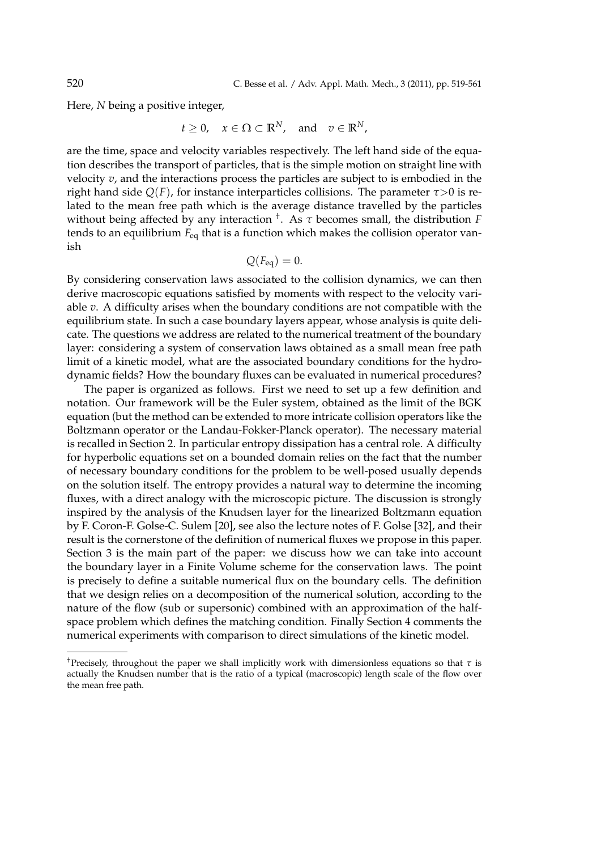Here, *N* being a positive integer,

$$
t\geq 0, \quad x\in \Omega \subset \mathbb{R}^N, \quad \text{and} \quad v\in \mathbb{R}^N,
$$

are the time, space and velocity variables respectively. The left hand side of the equation describes the transport of particles, that is the simple motion on straight line with velocity *v*, and the interactions process the particles are subject to is embodied in the right hand side  $Q(F)$ , for instance interparticles collisions. The parameter  $\tau > 0$  is related to the mean free path which is the average distance travelled by the particles without being affected by any interaction † . As *τ* becomes small, the distribution *F* tends to an equilibrium *F*eq that is a function which makes the collision operator vanish

$$
Q(F_{\text{eq}})=0.
$$

By considering conservation laws associated to the collision dynamics, we can then derive macroscopic equations satisfied by moments with respect to the velocity variable *v*. A difficulty arises when the boundary conditions are not compatible with the equilibrium state. In such a case boundary layers appear, whose analysis is quite delicate. The questions we address are related to the numerical treatment of the boundary layer: considering a system of conservation laws obtained as a small mean free path limit of a kinetic model, what are the associated boundary conditions for the hydrodynamic fields? How the boundary fluxes can be evaluated in numerical procedures?

The paper is organized as follows. First we need to set up a few definition and notation. Our framework will be the Euler system, obtained as the limit of the BGK equation (but the method can be extended to more intricate collision operators like the Boltzmann operator or the Landau-Fokker-Planck operator). The necessary material is recalled in Section 2. In particular entropy dissipation has a central role. A difficulty for hyperbolic equations set on a bounded domain relies on the fact that the number of necessary boundary conditions for the problem to be well-posed usually depends on the solution itself. The entropy provides a natural way to determine the incoming fluxes, with a direct analogy with the microscopic picture. The discussion is strongly inspired by the analysis of the Knudsen layer for the linearized Boltzmann equation by F. Coron-F. Golse-C. Sulem [20], see also the lecture notes of F. Golse [32], and their result is the cornerstone of the definition of numerical fluxes we propose in this paper. Section 3 is the main part of the paper: we discuss how we can take into account the boundary layer in a Finite Volume scheme for the conservation laws. The point is precisely to define a suitable numerical flux on the boundary cells. The definition that we design relies on a decomposition of the numerical solution, according to the nature of the flow (sub or supersonic) combined with an approximation of the halfspace problem which defines the matching condition. Finally Section 4 comments the numerical experiments with comparison to direct simulations of the kinetic model.

<sup>†</sup>Precisely, throughout the paper we shall implicitly work with dimensionless equations so that *τ* is actually the Knudsen number that is the ratio of a typical (macroscopic) length scale of the flow over the mean free path.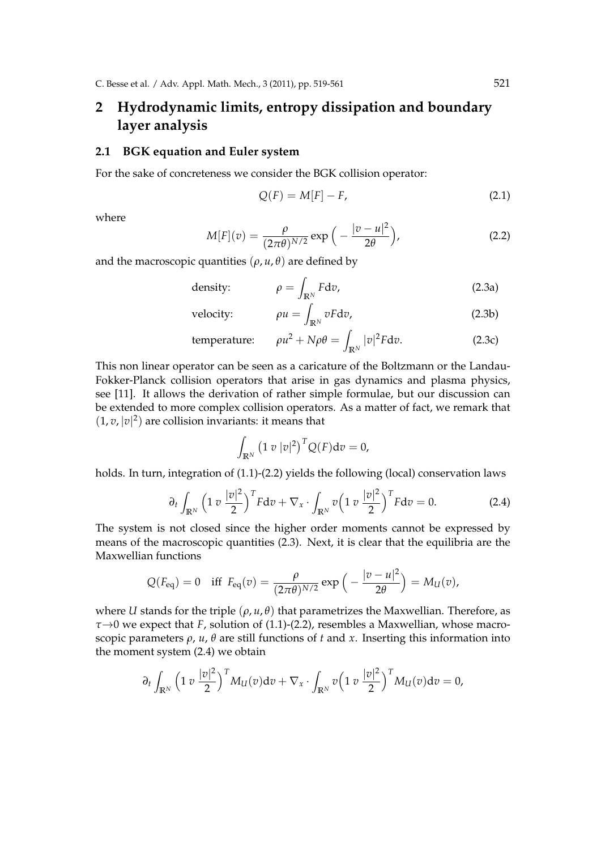# **2 Hydrodynamic limits, entropy dissipation and boundary layer analysis**

#### **2.1 BGK equation and Euler system**

For the sake of concreteness we consider the BGK collision operator:

$$
Q(F) = M[F] - F,\t\t(2.1)
$$

where

$$
M[F](v) = \frac{\rho}{(2\pi\theta)^{N/2}} \exp\left(-\frac{|v - u|^2}{2\theta}\right),
$$
 (2.2)

and the macroscopic quantities ( $\rho$ ,  $u$ ,  $\theta$ ) are defined by

density: 
$$
\rho = \int_{\mathbb{R}^N} F d\sigma, \qquad (2.3a)
$$

velocity: 
$$
\rho u = \int_{\mathbb{R}^N} v F dv,
$$
 (2.3b)

temperature: 
$$
\rho u^2 + N\rho \theta = \int_{\mathbb{R}^N} |v|^2 F dv.
$$
 (2.3c)

This non linear operator can be seen as a caricature of the Boltzmann or the Landau-Fokker-Planck collision operators that arise in gas dynamics and plasma physics, see [11]. It allows the derivation of rather simple formulae, but our discussion can be extended to more complex collision operators. As a matter of fact, we remark that  $(1, v, |v|^2)$  are collision invariants: it means that

$$
\int_{\mathbb{R}^N} \left(1 \ v \ |v|^2\right)^T Q(F) \mathrm{d} v = 0,
$$

holds. In turn, integration of (1.1)-(2.2) yields the following (local) conservation laws

$$
\partial_t \int_{\mathbb{R}^N} \left(1 \, v \, \frac{|v|^2}{2}\right)^T F \mathrm{d}v + \nabla_x \cdot \int_{\mathbb{R}^N} v \left(1 \, v \, \frac{|v|^2}{2}\right)^T F \mathrm{d}v = 0. \tag{2.4}
$$

The system is not closed since the higher order moments cannot be expressed by means of the macroscopic quantities (2.3). Next, it is clear that the equilibria are the Maxwellian functions

$$
Q(F_{\text{eq}}) = 0 \quad \text{iff} \quad F_{\text{eq}}(v) = \frac{\rho}{(2\pi\theta)^{N/2}} \exp\left(-\frac{|v-u|^2}{2\theta}\right) = M_U(v),
$$

where *U* stands for the triple  $(\rho, u, \theta)$  that parametrizes the Maxwellian. Therefore, as *τ→*0 we expect that *F*, solution of (1.1)-(2.2), resembles a Maxwellian, whose macroscopic parameters *ρ*, *u*, *θ* are still functions of *t* and *x*. Inserting this information into the moment system (2.4) we obtain

$$
\partial_t \int_{\mathbb{R}^N} \left(1 \, v \, \frac{|v|^2}{2}\right)^T M_U(v) \mathrm{d}v + \nabla_x \cdot \int_{\mathbb{R}^N} v \left(1 \, v \, \frac{|v|^2}{2}\right)^T M_U(v) \mathrm{d}v = 0,
$$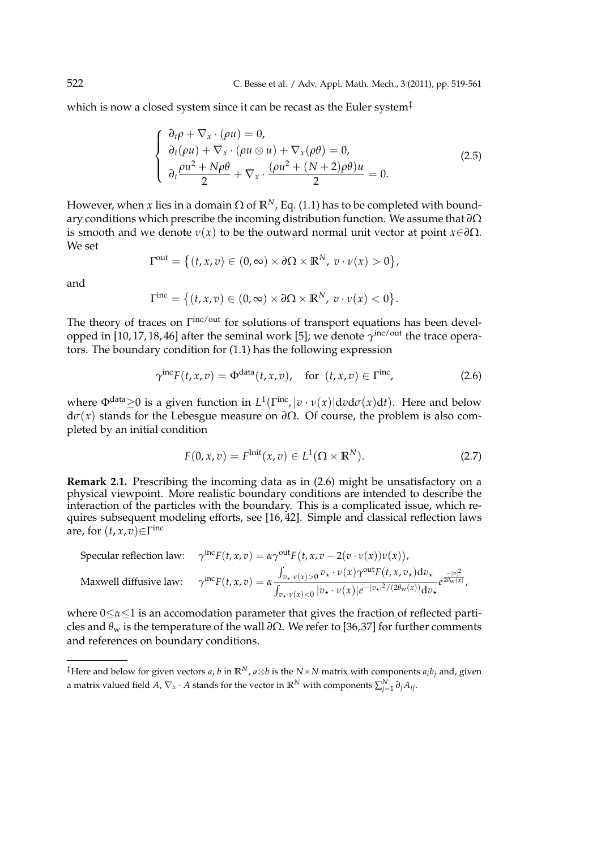which is now a closed system since it can be recast as the Euler system<sup>‡</sup>

$$
\begin{cases}\n\frac{\partial_t \rho + \nabla_x \cdot (\rho u) = 0, \\
\partial_t (\rho u) + \nabla_x \cdot (\rho u \otimes u) + \nabla_x (\rho \theta) = 0, \\
\partial_t \frac{\rho u^2 + N \rho \theta}{2} + \nabla_x \cdot \frac{(\rho u^2 + (N + 2) \rho \theta) u}{2} = 0.\n\end{cases}
$$
\n(2.5)

However, when *x* lies in a domain  $\Omega$  of  $\mathbb{R}^N$ , Eq. (1.1) has to be completed with boundary conditions which prescribe the incoming distribution function. We assume that *∂*Ω is smooth and we denote *ν*(*x*) to be the outward normal unit vector at point *x∈∂*Ω. We set

$$
\Gamma^{\text{out}} = \left\{ (t, x, v) \in (0, \infty) \times \partial \Omega \times \mathbb{R}^N, v \cdot v(x) > 0 \right\},\
$$

and

$$
\Gamma^{\text{inc}} = \big\{ (t,x,v) \in (0,\infty) \times \partial \Omega \times \mathbb{R}^N, \ v \cdot \nu(x) < 0 \big\}.
$$

The theory of traces on  $\Gamma^{\text{inc}/\text{out}}$  for solutions of transport equations has been developped in [10,17,18,46] after the seminal work [5]; we denote  $\gamma^{\text{inc/out}}$  the trace operators. The boundary condition for (1.1) has the following expression

$$
\gamma^{\text{inc}} F(t, x, v) = \Phi^{\text{data}}(t, x, v), \quad \text{for } (t, x, v) \in \Gamma^{\text{inc}}, \tag{2.6}
$$

where  $\Phi^{\text{data}} \geq 0$  is a given function in  $L^1(\Gamma^{\text{inc}}, |v \cdot v(x)| \text{d} v \text{d} \sigma(x) \text{d} t)$ . Here and below  $d*σ*(*x*)$  stands for the Lebesgue measure on *∂*Ω. Of course, the problem is also completed by an initial condition

$$
F(0, x, v) = F^{\text{Init}}(x, v) \in L^{1}(\Omega \times \mathbb{R}^{N}).
$$
\n(2.7)

**Remark 2.1.** Prescribing the incoming data as in (2.6) might be unsatisfactory on a physical viewpoint. More realistic boundary conditions are intended to describe the interaction of the particles with the boundary. This is a complicated issue, which requires subsequent modeling efforts, see [16, 42]. Simple and classical reflection laws are, for (*t*, *x*, *v*)*∈*Γ inc

Specular reflection law:

\n
$$
\gamma^{\text{inc}} F(t, x, v) = \alpha \gamma^{\text{out}} F(t, x, v - 2(v \cdot v(x)) v(x)),
$$
\nMaxwell diffusive law:

\n
$$
\gamma^{\text{inc}} F(t, x, v) = \alpha \frac{\int_{v_x \cdot v(x) > 0} v_x \cdot v(x) \gamma^{\text{out}} F(t, x, v_x) \, dv_x}{\int_{v_x \cdot v(x) < 0} |v_x \cdot v(x)| e^{-|v_x|^2 / (2\theta_w(x))} \, dv_x} e^{\frac{-|v|^2}{2\theta_w(x)}},
$$

where 0*≤α≤*1 is an accomodation parameter that gives the fraction of reflected particles and *θ*<sup>w</sup> is the temperature of the wall *∂*Ω. We refer to [36,37] for further comments and references on boundary conditions.

<sup>&</sup>lt;sup>‡</sup>Here and below for given vectors *a*, *b* in  $\mathbb{R}^N$ , *a*⊗*b* is the *N*×*N* matrix with components *a*<sub>*i*</sub>*b*<sub>*j*</sub> and, given a matrix valued field *A*,  $\nabla_x \cdot A$  stands for the vector in  $\mathbb{R}^N$  with components  $\sum_{j=1}^N \partial_j A_{ij}$ .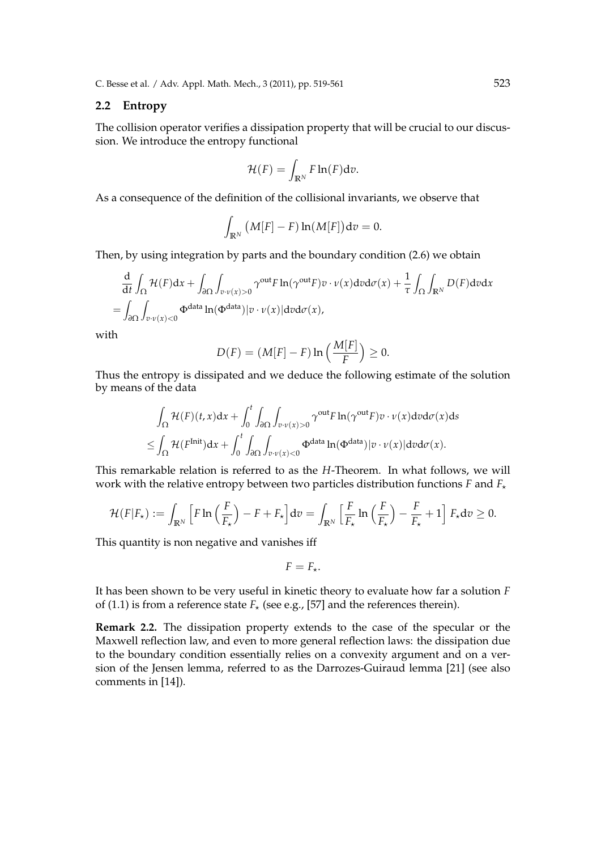C. Besse et al. / Adv. Appl. Math. Mech., 3 (2011), pp. 519-561 523

#### **2.2 Entropy**

The collision operator verifies a dissipation property that will be crucial to our discussion. We introduce the entropy functional

$$
\mathcal{H}(F) = \int_{\mathbb{R}^N} F \ln(F) \mathrm{d} v.
$$

As a consequence of the definition of the collisional invariants, we observe that

$$
\int_{\mathbb{R}^N} \big(M[F] - F\big) \ln(M[F]\big) \mathrm{d} v = 0.
$$

Then, by using integration by parts and the boundary condition (2.6) we obtain

$$
\frac{d}{dt} \int_{\Omega} \mathcal{H}(F) dx + \int_{\partial \Omega} \int_{v \cdot v(x) > 0} \gamma^{\text{out}} F \ln(\gamma^{\text{out}} F) v \cdot v(x) d v d\sigma(x) + \frac{1}{\tau} \int_{\Omega} \int_{\mathbb{R}^N} D(F) d v d x
$$
\n
$$
= \int_{\partial \Omega} \int_{v \cdot v(x) < 0} \Phi^{\text{data}} \ln(\Phi^{\text{data}}) |v \cdot v(x)| d v d\sigma(x),
$$

with

$$
D(F) = (M[F] - F) \ln \left( \frac{M[F]}{F} \right) \geq 0.
$$

Thus the entropy is dissipated and we deduce the following estimate of the solution by means of the data

$$
\int_{\Omega} \mathcal{H}(F)(t,x)dx + \int_{0}^{t} \int_{\partial\Omega} \int_{v \cdot \nu(x)>0} \gamma^{\text{out}} F \ln(\gamma^{\text{out}} F)v \cdot \nu(x) d\nu d\sigma(x) ds
$$
  

$$
\leq \int_{\Omega} \mathcal{H}(F^{\text{Init}})dx + \int_{0}^{t} \int_{\partial\Omega} \int_{v \cdot \nu(x)<0} \Phi^{\text{data}} \ln(\Phi^{\text{data}})|v \cdot \nu(x)| d\nu d\sigma(x).
$$

This remarkable relation is referred to as the *H*-Theorem. In what follows, we will work with the relative entropy between two particles distribution functions *F* and  $F_{\star}$ 

$$
\mathcal{H}(F|F_{\star}) := \int_{\mathbb{R}^N} \left[ F \ln \left( \frac{F}{F_{\star}} \right) - F + F_{\star} \right] dv = \int_{\mathbb{R}^N} \left[ \frac{F}{F_{\star}} \ln \left( \frac{F}{F_{\star}} \right) - \frac{F}{F_{\star}} + 1 \right] F_{\star} dv \ge 0.
$$

This quantity is non negative and vanishes iff

$$
F=F_{\star}.
$$

It has been shown to be very useful in kinetic theory to evaluate how far a solution *F* of (1.1) is from a reference state  $F_{\star}$  (see e.g., [57] and the references therein).

**Remark 2.2.** The dissipation property extends to the case of the specular or the Maxwell reflection law, and even to more general reflection laws: the dissipation due to the boundary condition essentially relies on a convexity argument and on a version of the Jensen lemma, referred to as the Darrozes-Guiraud lemma [21] (see also comments in [14]).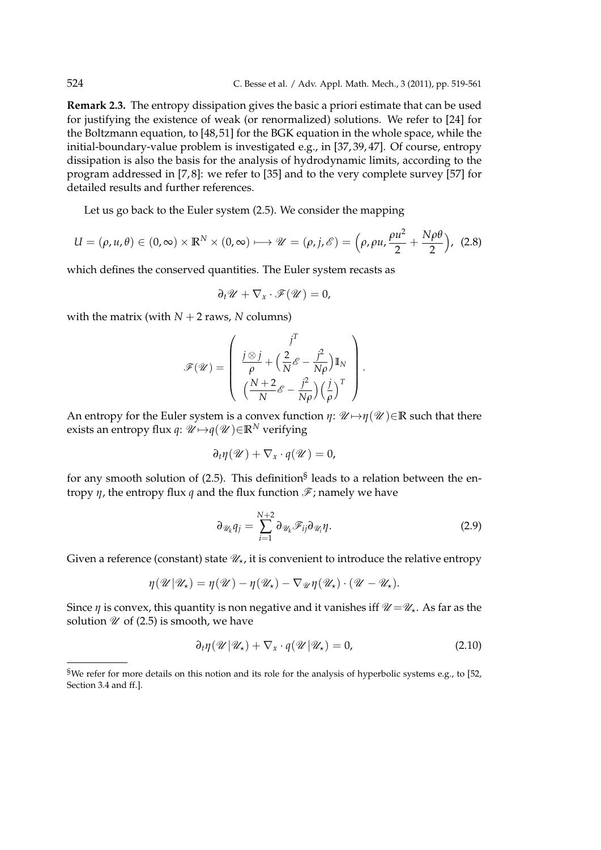**Remark 2.3.** The entropy dissipation gives the basic a priori estimate that can be used for justifying the existence of weak (or renormalized) solutions. We refer to [24] for the Boltzmann equation, to [48,51] for the BGK equation in the whole space, while the initial-boundary-value problem is investigated e.g., in [37, 39, 47]. Of course, entropy dissipation is also the basis for the analysis of hydrodynamic limits, according to the program addressed in [7, 8]: we refer to [35] and to the very complete survey [57] for detailed results and further references.

Let us go back to the Euler system (2.5). We consider the mapping

$$
U = (\rho, u, \theta) \in (0, \infty) \times \mathbb{R}^N \times (0, \infty) \longmapsto \mathscr{U} = (\rho, j, \mathscr{E}) = (\rho, \rho u, \frac{\rho u^2}{2} + \frac{N \rho \theta}{2}), \tag{2.8}
$$

which defines the conserved quantities. The Euler system recasts as

$$
\partial_t \mathscr{U} + \nabla_x \cdot \mathscr{F}(\mathscr{U}) = 0,
$$

with the matrix (with  $N + 2$  raws,  $N$  columns)

$$
\mathscr{F}(\mathscr{U}) = \left( \begin{array}{c} j^T \\ \frac{j \otimes j}{\rho} + \left( \frac{2}{N} \mathscr{E} - \frac{j^2}{N\rho} \right) \mathbb{I}_N \\ \left( \frac{N+2}{N} \mathscr{E} - \frac{j^2}{N\rho} \right) \left( \frac{j}{\rho} \right)^T \end{array} \right).
$$

An entropy for the Euler system is a convex function  $\eta: \mathcal{U} \mapsto \eta(\mathcal{U}) \in \mathbb{R}$  such that there exists an entropy flux *q*:  $\mathcal{U} \mapsto q(\mathcal{U}) \in \mathbb{R}^N$  verifying

$$
\partial_t \eta(\mathscr{U}) + \nabla_x \cdot q(\mathscr{U}) = 0,
$$

for any smooth solution of (2.5). This definition<sup>§</sup> leads to a relation between the entropy  $\eta$ , the entropy flux *q* and the flux function  $\mathcal{F}$ ; namely we have

$$
\partial_{\mathscr{U}_k} q_j = \sum_{i=1}^{N+2} \partial_{\mathscr{U}_k} \mathscr{F}_{ij} \partial_{\mathscr{U}_i} \eta.
$$
 (2.9)

Given a reference (constant) state  $\mathcal{U}_\star$ , it is convenient to introduce the relative entropy

$$
\eta(\mathscr{U}|\mathscr{U}_\star) = \eta(\mathscr{U}) - \eta(\mathscr{U}_\star) - \nabla_{\mathscr{U}}\eta(\mathscr{U}_\star) \cdot (\mathscr{U} - \mathscr{U}_\star).
$$

Since *η* is convex, this quantity is non negative and it vanishes iff  $\mathcal{U} = \mathcal{U}_*$ . As far as the solution  $\mathcal U$  of (2.5) is smooth, we have

$$
\partial_t \eta(\mathscr{U}|\mathscr{U}_\star) + \nabla_x \cdot q(\mathscr{U}|\mathscr{U}_\star) = 0, \qquad (2.10)
$$

<sup>§</sup>We refer for more details on this notion and its role for the analysis of hyperbolic systems e.g., to [52, Section 3.4 and ff.].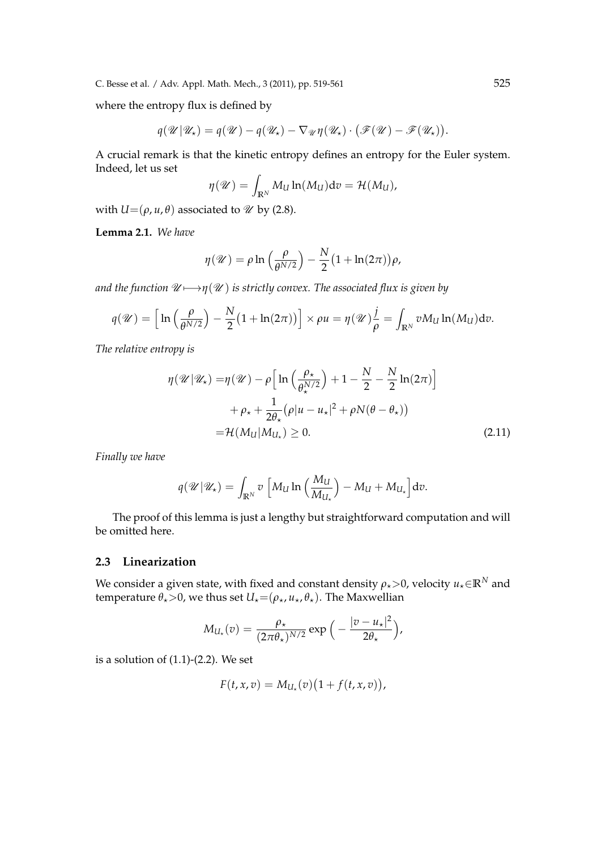C. Besse et al. / Adv. Appl. Math. Mech., 3 (2011), pp. 519-561 525

where the entropy flux is defined by

$$
q(\mathscr{U}|\mathscr{U}_\star) = q(\mathscr{U}) - q(\mathscr{U}_\star) - \nabla_{\mathscr{U}}\eta(\mathscr{U}_\star) \cdot (\mathscr{F}(\mathscr{U}) - \mathscr{F}(\mathscr{U}_\star)).
$$

A crucial remark is that the kinetic entropy defines an entropy for the Euler system. Indeed, let us set

$$
\eta(\mathscr{U}) = \int_{\mathbb{R}^N} M_U \ln(M_U) \mathrm{d}v = \mathcal{H}(M_U),
$$

with  $U=(\rho, u, \theta)$  associated to *U* by (2.8).

**Lemma 2.1.** *We have*

$$
\eta(\mathscr{U}) = \rho \ln \left( \frac{\rho}{\theta^{N/2}} \right) - \frac{N}{2} \left( 1 + \ln(2\pi) \right) \rho,
$$

*and the function*  $\mathcal{U} \longmapsto \eta(\mathcal{U})$  *is strictly convex. The associated flux is given by* 

$$
q(\mathscr{U}) = \left[\ln\left(\frac{\rho}{\theta^{N/2}}\right) - \frac{N}{2}(1 + \ln(2\pi))\right] \times \rho u = \eta(\mathscr{U})\frac{j}{\rho} = \int_{\mathbb{R}^N} v M_U \ln(M_U) \, dv.
$$

*The relative entropy is*

$$
\eta(\mathcal{U}|\mathcal{U}_\star) = \eta(\mathcal{U}) - \rho \Big[ \ln \Big( \frac{\rho_\star}{\theta_\star^{N/2}} \Big) + 1 - \frac{N}{2} - \frac{N}{2} \ln(2\pi) \Big] + \rho_\star + \frac{1}{2\theta_\star} (\rho |u - u_\star|^2 + \rho N(\theta - \theta_\star)) = \mathcal{H}(M_U|M_{U_\star}) \ge 0.
$$
 (2.11)

*Finally we have*

$$
q(\mathscr{U}|\mathscr{U}_\star) = \int_{\mathbb{R}^N} v \left[ M_U \ln \left( \frac{M_U}{M_{U_\star}} \right) - M_U + M_{U_\star} \right] dv.
$$

The proof of this lemma is just a lengthy but straightforward computation and will be omitted here.

### **2.3 Linearization**

We consider a given state, with fixed and constant density  $\rho_{\star}$  >0, velocity  $u_{\star} \in \mathbb{R}^N$  and temperature  $\theta_*$  > 0, we thus set  $U_* = (\rho_*, u_*, \theta_*)$ . The Maxwellian

$$
M_{U_{\star}}(v) = \frac{\rho_{\star}}{(2\pi\theta_{\star})^{N/2}} \exp\Big(-\frac{|v - u_{\star}|^2}{2\theta_{\star}}\Big),\,
$$

is a solution of  $(1.1)-(2.2)$ . We set

$$
F(t, x, v) = M_{U_{\star}}(v) \big(1 + f(t, x, v)\big),
$$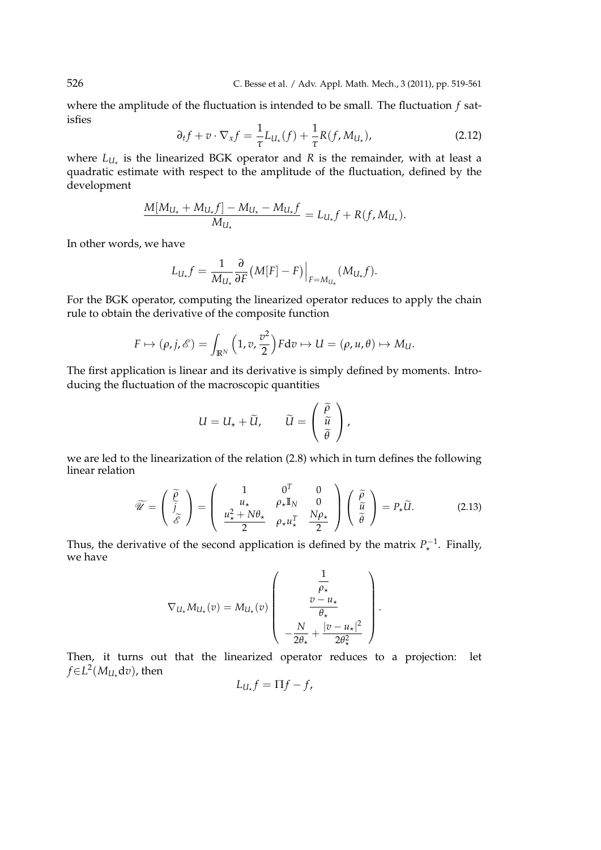where the amplitude of the fluctuation is intended to be small. The fluctuation *f* satisfies

$$
\partial_t f + v \cdot \nabla_x f = \frac{1}{\tau} L_{U_\star}(f) + \frac{1}{\tau} R(f, M_{U_\star}), \tag{2.12}
$$

where  $L_{U_{\star}}$  is the linearized BGK operator and R is the remainder, with at least a quadratic estimate with respect to the amplitude of the fluctuation, defined by the development

$$
\frac{M[M_{U_{\star}}+M_{U_{\star}}f]-M_{U_{\star}}-M_{U_{\star}}f}{M_{U_{\star}}} = L_{U_{\star}}f + R(f, M_{U_{\star}}).
$$

In other words, we have

$$
L_{U_{\star}}f = \frac{1}{M_{U_{\star}}} \frac{\partial}{\partial F} (M[F] - F) \Big|_{F = M_{U_{\star}}} (M_{U_{\star}}f).
$$

For the BGK operator, computing the linearized operator reduces to apply the chain rule to obtain the derivative of the composite function

$$
F \mapsto (\rho, j, \mathscr{E}) = \int_{\mathbb{R}^N} \left(1, v, \frac{v^2}{2}\right) F dv \mapsto U = (\rho, u, \theta) \mapsto M_U.
$$

The first application is linear and its derivative is simply defined by moments. Introducing the fluctuation of the macroscopic quantities

$$
U = U_{\star} + \widetilde{U}, \qquad \widetilde{U} = \begin{pmatrix} \widetilde{\rho} \\ \widetilde{u} \\ \widetilde{\theta} \end{pmatrix},
$$

we are led to the linearization of the relation (2.8) which in turn defines the following linear relation

$$
\widetilde{\mathscr{U}} = \begin{pmatrix} \widetilde{\rho} \\ \widetilde{j} \\ \widetilde{\mathscr{E}} \end{pmatrix} = \begin{pmatrix} 1 & 0^T & 0 \\ u_{\star} & \rho_{\star} \mathbb{I}_N & 0 \\ \frac{u_{\star}^2 + N\theta_{\star}}{2} & \rho_{\star} u_{\star}^T & \frac{N\rho_{\star}}{2} \end{pmatrix} \begin{pmatrix} \widetilde{\rho} \\ \widetilde{u} \\ \widetilde{\theta} \end{pmatrix} = P_{\star} \widetilde{U}. \tag{2.13}
$$

Thus, the derivative of the second application is defined by the matrix  $P_{\star}^{-1}$ . Finally, we have

$$
\nabla_{U_{\star}} M_{U_{\star}}(v) = M_{U_{\star}}(v) \left( \begin{array}{c} \frac{1}{\rho_{\star}} \\ v - u_{\star} \\ -\frac{N}{2\theta_{\star}} + \frac{|v - u_{\star}|^2}{2\theta_{\star}^2} \end{array} \right).
$$

Then, it turns out that the linearized operator reduces to a projection: let  $f ∈ L<sup>2</sup>(M<sub>U</sub>,<sup>d</sup>v)$ , then

$$
L_{U_\star}f=\Pi f-f,
$$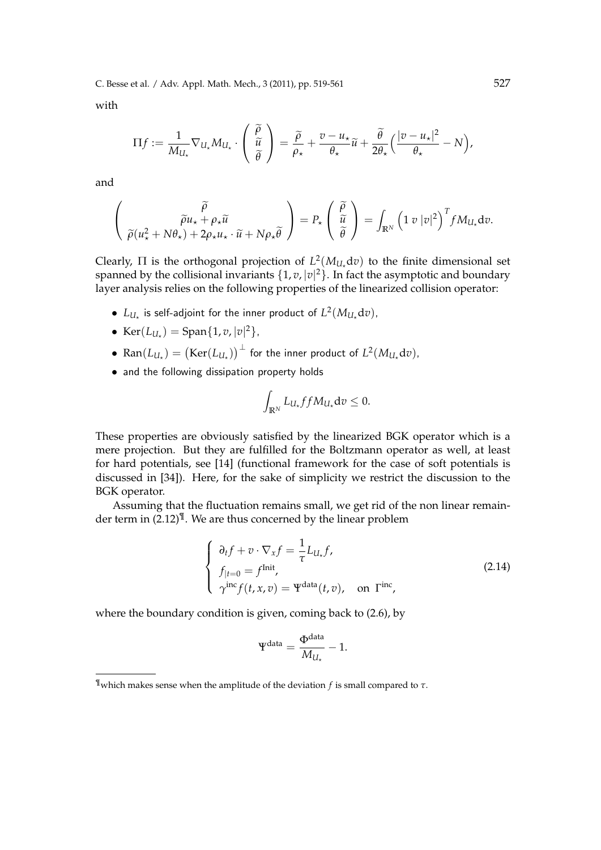C. Besse et al. / Adv. Appl. Math. Mech., 3 (2011), pp. 519-561 527

with

$$
\Pi f := \frac{1}{M_{U_\star}} \nabla_{U_\star} M_{U_\star} \cdot \begin{pmatrix} \widetilde{\rho} \\ \widetilde{u} \\ \widetilde{\theta} \end{pmatrix} = \frac{\widetilde{\rho}}{\rho_\star} + \frac{v - u_\star}{\theta_\star} \widetilde{u} + \frac{\widetilde{\theta}}{2\theta_\star} \Big(\frac{|v - u_\star|^2}{\theta_\star} - N\Big),
$$

and

$$
\begin{pmatrix}\n\widetilde{\rho} \\
\widetilde{\rho}(u_{\star}^2 + N\theta_{\star}) + 2\rho_{\star}u_{\star} \cdot \widetilde{u} + N\rho_{\star}\widetilde{\theta}\n\end{pmatrix} = P_{\star} \begin{pmatrix}\n\widetilde{\rho} \\
\widetilde{u} \\
\widetilde{\theta}\n\end{pmatrix} = \int_{\mathbb{R}^N} \left(1 v |v|^2\right)^T f M_{U_{\star}} dv.
$$

Clearly,  $\Pi$  is the orthogonal projection of  $L^2(M_{U_*}dv)$  to the finite dimensional set spanned by the collisional invariants *{*1, *v*, *|v|* <sup>2</sup>*}*. In fact the asymptotic and boundary layer analysis relies on the following properties of the linearized collision operator:

- $L_{U_{\star}}$  is self-adjoint for the inner product of  $L^2(M_{U_{\star}}dv)$ ,
- Ker( $L_{U_{\star}}$ ) = Span{1, *v*, |*v*|<sup>2</sup>},
- $\bullet$  Ran $(L_{U_{\star}})=\big(\text{Ker}(L_{U_{\star}})\big)^{\perp}$  for the inner product of  $L^2(M_{U_{\star}}{\rm d} v)$ ,
- and the following dissipation property holds

$$
\int_{\mathbb{R}^N} L_{U_\star} f f M_{U_\star} dv \leq 0.
$$

These properties are obviously satisfied by the linearized BGK operator which is a mere projection. But they are fulfilled for the Boltzmann operator as well, at least for hard potentials, see [14] (functional framework for the case of soft potentials is discussed in [34]). Here, for the sake of simplicity we restrict the discussion to the BGK operator.

Assuming that the fluctuation remains small, we get rid of the non linear remainder term in (2.12)<sup>¶</sup>. We are thus concerned by the linear problem

$$
\begin{cases}\n\partial_t f + v \cdot \nabla_x f = \frac{1}{\tau} L_{U_\tau} f, \\
f_{|t=0} = f^{\text{Init}}, \\
\gamma^{\text{inc}} f(t, x, v) = \Psi^{\text{data}}(t, v), \text{ on } \Gamma^{\text{inc}},\n\end{cases}
$$
\n(2.14)

where the boundary condition is given, coming back to (2.6), by

$$
\Psi^{\text{data}} = \frac{\Phi^{\text{data}}}{M_{U_{\star}}} - 1.
$$

<sup>¶</sup>which makes sense when the amplitude of the deviation *f* is small compared to *τ*.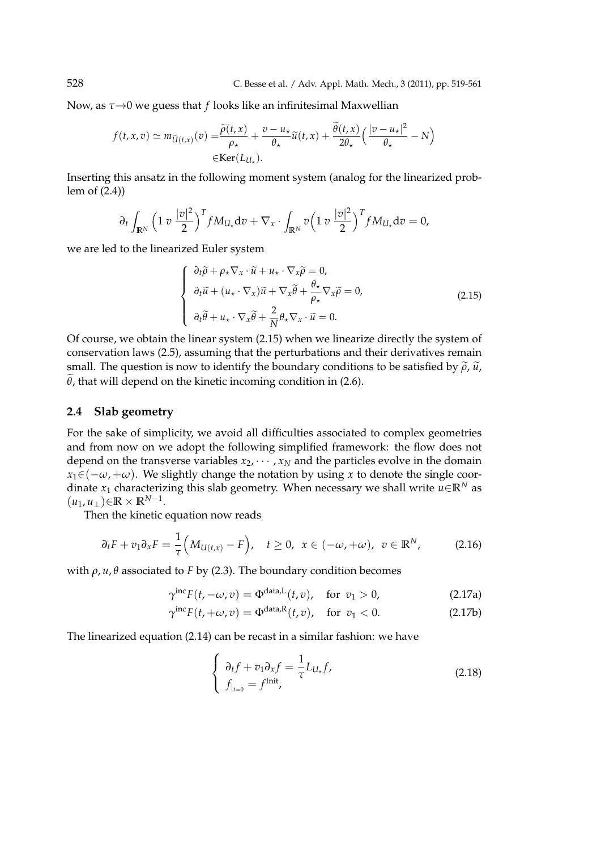Now, as *τ→*0 we guess that *f* looks like an infinitesimal Maxwellian

$$
f(t, x, v) \simeq m_{\widetilde{U}(t, x)}(v) = \frac{\widetilde{\rho}(t, x)}{\rho_{\star}} + \frac{v - u_{\star}}{\theta_{\star}} \widetilde{u}(t, x) + \frac{\widetilde{\theta}(t, x)}{2\theta_{\star}} \left(\frac{|v - u_{\star}|^2}{\theta_{\star}} - N\right)
$$

$$
\in \text{Ker}(L_{U_{\star}}).
$$

Inserting this ansatz in the following moment system (analog for the linearized problem of (2.4))

$$
\partial_t \int_{\mathbb{R}^N} \left(1 \, v \, \frac{|v|^2}{2}\right)^T f M_{U_\star} \mathrm{d}v + \nabla_x \cdot \int_{\mathbb{R}^N} v \left(1 \, v \, \frac{|v|^2}{2}\right)^T f M_{U_\star} \mathrm{d}v = 0,
$$

we are led to the linearized Euler system

$$
\begin{cases}\n\frac{\partial_t \widetilde{\rho} + \rho_\star \nabla_x \cdot \widetilde{u} + u_\star \cdot \nabla_x \widetilde{\rho} = 0, \\
\frac{\partial_t \widetilde{u} + (u_\star \cdot \nabla_x) \widetilde{u} + \nabla_x \widetilde{\theta} + \frac{\theta_\star}{\rho_\star} \nabla_x \widetilde{\rho} = 0, \\
\frac{\partial_t \widetilde{\rho} + u_\star \cdot \nabla_x \widetilde{\theta} + \frac{2}{N} \theta_\star \nabla_x \cdot \widetilde{u} = 0.\n\end{cases}
$$
\n(2.15)

Of course, we obtain the linear system (2.15) when we linearize directly the system of conservation laws (2.5), assuming that the perturbations and their derivatives remain small. The question is now to identify the boundary conditions to be satisfied by  $\tilde{\rho}$ ,  $\tilde{u}$ ,  $\tilde{\theta}$ , that will depend on the kinetic incoming condition in (2.6).

### **2.4 Slab geometry**

For the sake of simplicity, we avoid all difficulties associated to complex geometries and from now on we adopt the following simplified framework: the flow does not depend on the transverse variables  $x_2, \dots, x_N$  and the particles evolve in the domain  $x_1 \in (-\omega, +\omega)$ . We slightly change the notation by using *x* to denote the single coordinate *x*<sub>1</sub> characterizing this slab geometry. When necessary we shall write  $u \in \mathbb{R}^N$  as  $(u_1, u_1) \in \mathbb{R} \times \mathbb{R}^{N-1}$ .

Then the kinetic equation now reads

$$
\partial_t F + v_1 \partial_x F = \frac{1}{\tau} \Big( M_{U(t,x)} - F \Big), \quad t \ge 0, \ x \in (-\omega, +\omega), \ v \in \mathbb{R}^N, \tag{2.16}
$$

with  $\rho$ ,  $u$ ,  $\theta$  associated to *F* by (2.3). The boundary condition becomes

$$
\gamma^{\text{inc}} F(t, -\omega, v) = \Phi^{\text{data},L}(t, v), \quad \text{for } v_1 > 0,
$$
\n(2.17a)

$$
\gamma^{\text{inc}} F(t, +\omega, v) = \Phi^{\text{data}, R}(t, v), \quad \text{for } v_1 < 0. \tag{2.17b}
$$

The linearized equation (2.14) can be recast in a similar fashion: we have

$$
\begin{cases}\n\partial_t f + v_1 \partial_x f = \frac{1}{\tau} L_{U_x} f, \\
f_{|_{t=0}} = f^{\text{Init}},\n\end{cases}
$$
\n(2.18)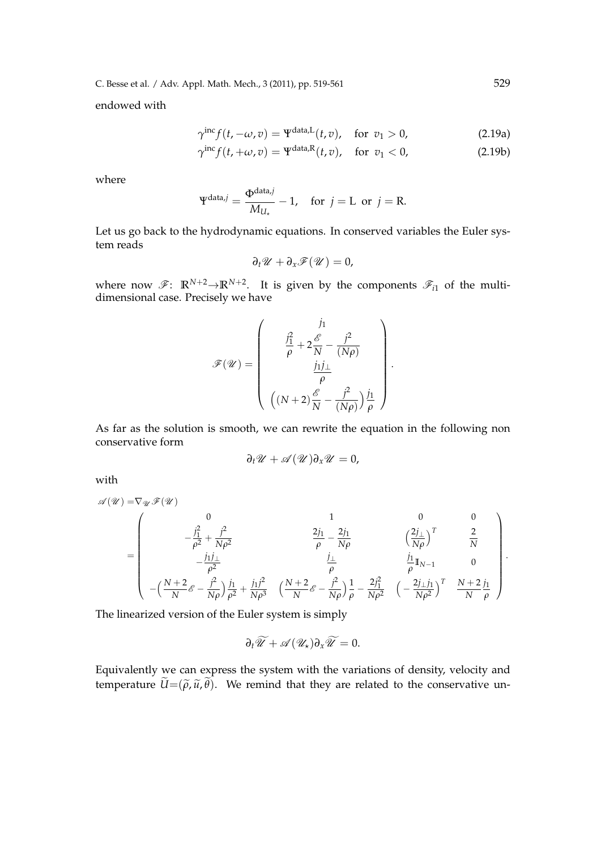C. Besse et al. / Adv. Appl. Math. Mech., 3 (2011), pp. 519-561 529

endowed with

$$
\gamma^{\text{inc}} f(t, -\omega, v) = \Psi^{\text{data}, L}(t, v), \quad \text{for } v_1 > 0,
$$
\n(2.19a)

$$
\gamma^{\text{inc}} f(t, +\omega, v) = \Psi^{\text{data}, R}(t, v), \quad \text{for } v_1 < 0,\tag{2.19b}
$$

where

$$
\Psi^{\text{data},j} = \frac{\Phi^{\text{data},j}}{M_{U_{\star}}} - 1, \text{ for } j = L \text{ or } j = R.
$$

Let us go back to the hydrodynamic equations. In conserved variables the Euler system reads

$$
\partial_t \mathscr{U} + \partial_x \mathscr{F}(\mathscr{U}) = 0,
$$

where now  $\mathscr{F}$ :  $\mathbb{R}^{N+2} \rightarrow \mathbb{R}^{N+2}$ . It is given by the components  $\mathscr{F}_{i1}$  of the multidimensional case. Precisely we have

$$
\mathcal{F}(\mathcal{U}) = \left(\begin{array}{c}j_1\\ \frac{j_1^2}{\rho} + 2\frac{\mathcal{E}}{N} - \frac{j^2}{(N\rho)} \\ \frac{j_1j_\perp}{\rho} \\ \left((N+2)\frac{\mathcal{E}}{N} - \frac{j^2}{(N\rho)}\right)\frac{j_1}{\rho}\end{array}\right).
$$

As far as the solution is smooth, we can rewrite the equation in the following non conservative form

$$
\partial_t \mathscr{U} + \mathscr{A}(\mathscr{U}) \partial_x \mathscr{U} = 0,
$$

with

$$
\mathscr{A}(\mathscr{U}) = \nabla_{\mathscr{U}} \mathscr{F}(\mathscr{U})
$$
\n
$$
= \begin{pmatrix}\n0 & 1 & 0 & 0 \\
-\frac{j_1^2}{\rho^2} + \frac{j^2}{N\rho^2} & \frac{2j_1}{\rho} - \frac{2j_1}{N\rho} & \left(\frac{2j_\perp}{N\rho}\right)^T & \frac{2}{N} \\
-\frac{j_1 j_\perp}{\rho^2} & -\frac{j_1 j^2}{\rho^2} & \frac{j_\perp}{\rho} & \frac{j_1}{\rho} & \frac{j_1}{\rho} & 0 \\
-(\frac{N+2}{N}\mathscr{E} - \frac{j^2}{N\rho})\frac{j_1}{\rho^2} + \frac{j_1 j^2}{N\rho^3} & (\frac{N+2}{N}\mathscr{E} - \frac{j^2}{N\rho})\frac{1}{\rho} - \frac{2j_1^2}{N\rho^2} & (-\frac{2j_\perp j_1}{N\rho^2})^T & \frac{N+2}{N}\frac{j_1}{\rho}\n\end{pmatrix}.
$$

The linearized version of the Euler system is simply

$$
\partial_t \widetilde{\mathscr{U}} + \mathscr{A}(\mathscr{U}_\star) \partial_x \widetilde{\mathscr{U}} = 0.
$$

Equivalently we can express the system with the variations of density, velocity and temperature  $\widetilde{U}=(\widetilde{\rho},\widetilde{u},\widetilde{\theta})$ . We remind that they are related to the conservative un-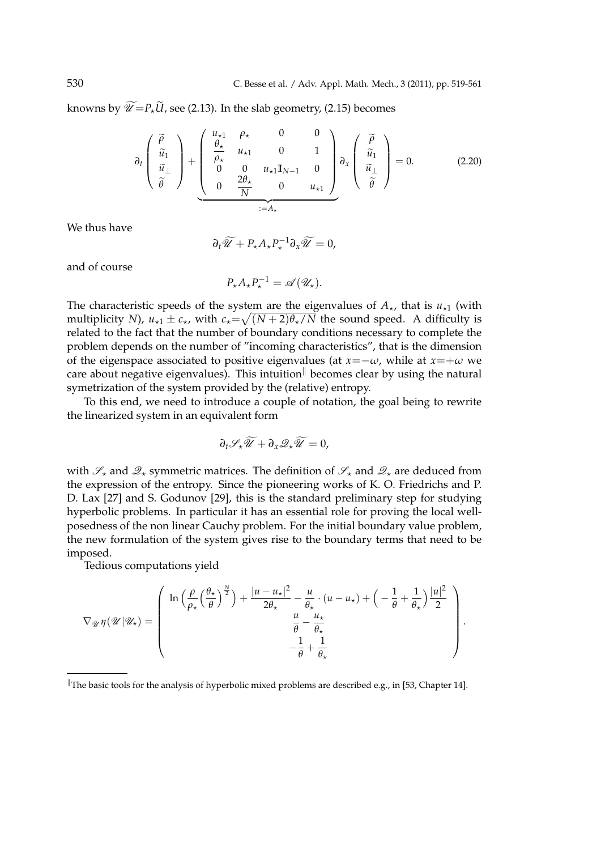knowns by  $\widetilde{\mathcal{U}}=P_{\star}\widetilde{U}$ , see (2.13). In the slab geometry, (2.15) becomes

$$
\partial_t \begin{pmatrix} \widetilde{\rho} \\ \widetilde{u}_1 \\ \widetilde{u}_ \end{pmatrix} + \underbrace{\begin{pmatrix} u_{\star 1} & \rho_{\star} & 0 & 0 \\ \frac{\theta_{\star}}{\rho_{\star}} & u_{\star 1} & 0 & 1 \\ 0 & 0 & u_{\star 1} \mathbb{I}_{N-1} & 0 \\ 0 & \frac{2\theta_{\star}}{N} & 0 & u_{\star 1} \end{pmatrix}}_{:=A_{\star}} \partial_x \begin{pmatrix} \widetilde{\rho} \\ \widetilde{u}_1 \\ \widetilde{u}_ \end{pmatrix} = 0.
$$
 (2.20)

We thus have

$$
\partial_t \widetilde{\mathscr{U}} + P_{\star} A_{\star} P_{\star}^{-1} \partial_x \widetilde{\mathscr{U}} = 0,
$$

and of course

 $P_{\star}A_{\star}P_{\star}^{-1} = \mathscr{A}(\mathscr{U}_{\star}).$ 

The characteristic speeds of the system are the eigenvalues of  $A_{\star}$ , that is  $u_{\star1}$  (with multiplicity *N*),  $u_{\star 1} \pm c_{\star}$ , with  $c_{\star} = \sqrt{(N+2)\theta_{\star}/N}$  the sound speed. A difficulty is related to the fact that the number of boundary conditions necessary to complete the problem depends on the number of "incoming characteristics", that is the dimension of the eigenspace associated to positive eigenvalues (at  $x = -\omega$ , while at  $x = +\omega$  we care about negative eigenvalues). This intuition*<sup>∥</sup>* becomes clear by using the natural symetrization of the system provided by the (relative) entropy.

To this end, we need to introduce a couple of notation, the goal being to rewrite the linearized system in an equivalent form

$$
\partial_t \mathscr{S}_\star \widetilde{\mathscr{U}} + \partial_x \mathscr{Q}_\star \widetilde{\mathscr{U}} = 0,
$$

with  $\mathscr{S}_\star$  and  $\mathscr{Q}_\star$  symmetric matrices. The definition of  $\mathscr{S}_\star$  and  $\mathscr{Q}_\star$  are deduced from the expression of the entropy. Since the pioneering works of K. O. Friedrichs and P. D. Lax [27] and S. Godunov [29], this is the standard preliminary step for studying hyperbolic problems. In particular it has an essential role for proving the local wellposedness of the non linear Cauchy problem. For the initial boundary value problem, the new formulation of the system gives rise to the boundary terms that need to be imposed.

Tedious computations yield

$$
\nabla_{\mathscr{U}} \eta(\mathscr{U}|\mathscr{U}_\star) = \left(\begin{array}{c} \ln \left(\frac{\rho}{\rho_\star} \left(\frac{\theta_\star}{\theta}\right)^{\frac{N}{2}}\right) + \frac{|u - u_\star|^2}{2\theta_\star} - \frac{u}{\theta_\star} \cdot (u - u_\star) + \left(-\frac{1}{\theta} + \frac{1}{\theta_\star}\right) \frac{|u|^2}{2} \\ \frac{u}{\theta} - \frac{u_\star}{\theta_\star} \\ -\frac{1}{\theta} + \frac{1}{\theta_\star} \end{array}\right).
$$

*<sup>∥</sup>*The basic tools for the analysis of hyperbolic mixed problems are described e.g., in [53, Chapter 14].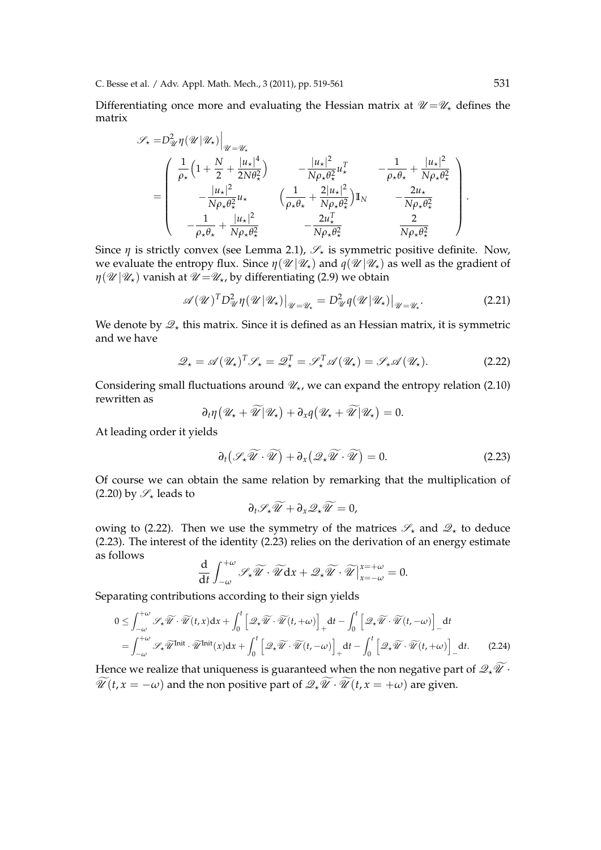Differentiating once more and evaluating the Hessian matrix at  $\mathcal{U} = \mathcal{U}_*$  defines the matrix

$$
\mathscr{S}_{\star} = D_{\mathscr{U}}^{2} \eta(\mathscr{U}|\mathscr{U}_{\star})\Big|_{\mathscr{U} = \mathscr{U}_{\star}}
$$
\n
$$
= \begin{pmatrix}\n\frac{1}{\rho_{\star}} \left(1 + \frac{N}{2} + \frac{|u_{\star}|^{4}}{2N\theta_{\star}^{2}}\right) & -\frac{|u_{\star}|^{2}}{N\rho_{\star}\theta_{\star}^{2}} u_{\star}^{T} & -\frac{1}{\rho_{\star}\theta_{\star}} + \frac{|u_{\star}|^{2}}{N\rho_{\star}\theta_{\star}^{2}} \\
-\frac{|u_{\star}|^{2}}{N\rho_{\star}\theta_{\star}^{2}} u_{\star} & \left(\frac{1}{\rho_{\star}\theta_{\star}} + \frac{2|u_{\star}|^{2}}{N\rho_{\star}\theta_{\star}^{2}}\right) I_{N} & -\frac{2u_{\star}}{N\rho_{\star}\theta_{\star}^{2}} \\
-\frac{1}{\rho_{\star}\theta_{\star}} + \frac{|u_{\star}|^{2}}{N\rho_{\star}\theta_{\star}^{2}} & -\frac{2u_{\star}^{T}}{N\rho_{\star}\theta_{\star}^{2}} & \frac{2}{N\rho_{\star}\theta_{\star}^{2}}\n\end{pmatrix}.
$$

Since  $\eta$  is strictly convex (see Lemma 2.1),  $\mathscr{S}_\star$  is symmetric positive definite. Now, we evaluate the entropy flux. Since  $\eta(\mathcal{U}|\mathcal{U}_\star)$  and  $\eta(\mathcal{U}|\mathcal{U}_\star)$  as well as the gradient of  $\eta(\mathcal{U}|\mathcal{U}_\star)$  vanish at  $\mathcal{U} = \mathcal{U}_\star$ , by differentiating (2.9) we obtain

$$
\mathscr{A}(\mathscr{U})^T D_{\mathscr{U}}^2 \eta(\mathscr{U}|\mathscr{U}_\star)|_{\mathscr{U}=\mathscr{U}_\star} = D_{\mathscr{U}}^2 \eta(\mathscr{U}|\mathscr{U}_\star)|_{\mathscr{U}=\mathscr{U}_\star}.
$$
\n(2.21)

We denote by  $\mathscr{Q}_\star$  this matrix. Since it is defined as an Hessian matrix, it is symmetric and we have

$$
\mathcal{Q}_{\star} = \mathscr{A}(\mathscr{U}_{\star})^T \mathscr{S}_{\star} = \mathscr{Q}_{\star}^T = \mathscr{S}_{\star}^T \mathscr{A}(\mathscr{U}_{\star}) = \mathscr{S}_{\star} \mathscr{A}(\mathscr{U}_{\star}). \tag{2.22}
$$

Considering small fluctuations around  $\mathcal{U}_{\star}$ , we can expand the entropy relation (2.10) rewritten as

$$
\partial_t \eta \big( \mathscr{U}_\star + \widetilde{\mathscr{U}} \big| \mathscr{U}_\star \big) + \partial_x q \big( \mathscr{U}_\star + \widetilde{\mathscr{U}} \big| \mathscr{U}_\star \big) = 0.
$$

At leading order it yields

$$
\partial_t \left( \mathscr{S}_\star \widetilde{\mathscr{U}} \cdot \widetilde{\mathscr{U}} \right) + \partial_x \left( \mathscr{Q}_\star \widetilde{\mathscr{U}} \cdot \widetilde{\mathscr{U}} \right) = 0. \tag{2.23}
$$

Of course we can obtain the same relation by remarking that the multiplication of (2.20) by  $\mathscr{S}_\star$  leads to

$$
\partial_t \mathscr{S}_\star \widetilde{\mathscr{U}} + \partial_x \mathscr{Q}_\star \widetilde{\mathscr{U}} = 0,
$$

owing to (2.22). Then we use the symmetry of the matrices  $\mathscr{S}_\star$  and  $\mathscr{Q}_\star$  to deduce (2.23). The interest of the identity (2.23) relies on the derivation of an energy estimate as follows

$$
\frac{\mathrm{d}}{\mathrm{d}t} \int_{-\omega}^{+\omega} \mathscr{S}_{\star} \widetilde{\mathscr{U}} \cdot \widetilde{\mathscr{U}} \mathrm{d}x + \mathscr{Q}_{\star} \widetilde{\mathscr{U}} \cdot \widetilde{\mathscr{U}} \big|_{x=-\omega}^{x=+\omega} = 0.
$$

Separating contributions according to their sign yields

$$
0 \leq \int_{-\omega}^{+\omega} \mathscr{S}_{\star} \widetilde{\mathscr{U}} \cdot \widetilde{\mathscr{U}}(t, x) dx + \int_{0}^{t} \left[ \mathscr{Q}_{\star} \widetilde{\mathscr{U}} \cdot \widetilde{\mathscr{U}}(t, +\omega) \right]_{+} dt - \int_{0}^{t} \left[ \mathscr{Q}_{\star} \widetilde{\mathscr{U}} \cdot \widetilde{\mathscr{U}}(t, -\omega) \right]_{-} dt
$$
  
= 
$$
\int_{-\omega}^{+\omega} \mathscr{S}_{\star} \widetilde{\mathscr{U}}^{\text{Init}} \cdot \widetilde{\mathscr{U}}^{\text{Init}}(x) dx + \int_{0}^{t} \left[ \mathscr{Q}_{\star} \widetilde{\mathscr{U}} \cdot \widetilde{\mathscr{U}}(t, -\omega) \right]_{+} dt - \int_{0}^{t} \left[ \mathscr{Q}_{\star} \widetilde{\mathscr{U}} \cdot \widetilde{\mathscr{U}}(t, +\omega) \right]_{-} dt.
$$
 (2.24)

Hence we realize that uniqueness is guaranteed when the non negative part of  $\mathcal{Q}_*\widetilde{\mathcal{U}}$ *<sup>\*</sup>*  $\widetilde{\mathcal{U}}(t, x = -\omega)$  and the non positive part of  $\mathcal{Q}_x \widetilde{\mathcal{U}} \cdot \widetilde{\mathcal{U}}(t, x = +\omega)$  are given.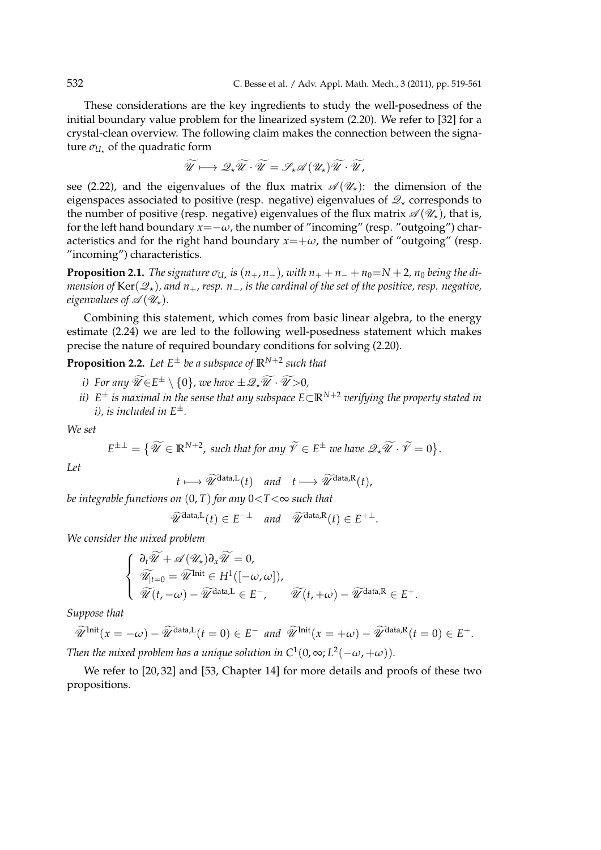These considerations are the key ingredients to study the well-posedness of the initial boundary value problem for the linearized system (2.20). We refer to [32] for a crystal-clean overview. The following claim makes the connection between the signature  $\sigma_{U_{\star}}$  of the quadratic form

$$
\widetilde{\mathscr{U}} \longmapsto \mathscr{Q}_{\star} \widetilde{\mathscr{U}} \cdot \widetilde{\mathscr{U}} = \mathscr{S}_{\star} \mathscr{A} \left( \mathscr{U}_{\star} \right) \widetilde{\mathscr{U}} \cdot \widetilde{\mathscr{U}},
$$

see (2.22), and the eigenvalues of the flux matrix  $\mathscr{A}(\mathscr{U}_\star)$ : the dimension of the eigenspaces associated to positive (resp. negative) eigenvalues of  $\mathscr{Q}_*$  corresponds to the number of positive (resp. negative) eigenvalues of the flux matrix  $\mathscr{A}(\mathscr{U}_\star)$ , that is, for the left hand boundary  $x=-\omega$ , the number of "incoming" (resp. "outgoing") characteristics and for the right hand boundary  $x = +\omega$ , the number of "outgoing" (resp. "incoming") characteristics.

**Proposition 2.1.** The signature  $\sigma_{U_\star}$  is  $(n_+, n_-)$ , with  $n_+ + n_- + n_0 = N + 2$ ,  $n_0$  being the di*mension of* Ker(*Q⋆*)*, and n*+*, resp. n−, is the cardinal of the set of the positive, resp. negative, eigenvalues of*  $\mathscr{A}(\mathscr{U}_\star)$ .

Combining this statement, which comes from basic linear algebra, to the energy estimate (2.24) we are led to the following well-posedness statement which makes precise the nature of required boundary conditions for solving (2.20).

**Proposition 2.2.** Let  $E^{\pm}$  be a subspace of  $\mathbb{R}^{N+2}$  such that

- *i*) For any  $\widetilde{\mathcal{U}} \in E^{\pm} \setminus \{0\}$ , we have  $\pm \mathcal{Q}_* \widetilde{\mathcal{U}} \cdot \widetilde{\mathcal{U}} > 0$ ,
- *ii) E <sup>±</sup> is maximal in the sense that any subspace E⊂***R***N*+<sup>2</sup> *verifying the property stated in i), is included in E±.*

*We set*

$$
E^{\pm \perp} = \{ \widetilde{\mathscr{U}} \in \mathbb{R}^{N+2}, \text{ such that for any } \widetilde{\mathscr{V}} \in E^{\pm} \text{ we have } \mathscr{Q}_{\star} \widetilde{\mathscr{U}} \cdot \widetilde{\mathscr{V}} = 0 \}.
$$

*Let*

$$
t \longmapsto \widetilde{\mathscr{U}}^{\text{data},L}(t) \quad \text{and} \quad t \longmapsto \widetilde{\mathscr{U}}^{\text{data},R}(t),
$$

*be integrable functions on* (0, *T*) *for any* 0*<T<*∞ *such that*

 $\widetilde{\mathcal{U}}^{\text{data},L}(t) \in E^{-\perp}$  *and*  $\widetilde{\mathcal{U}}^{\text{data},R}(t) \in E^{+\perp}$ .

*We consider the mixed problem*

$$
\begin{cases}\n\frac{\partial_t \widetilde{\mathscr{U}} + \mathscr{A}(\mathscr{U}_\star) \partial_x \widetilde{\mathscr{U}} = 0, \\
\widetilde{\mathscr{U}}_{|t=0} = \widetilde{\mathscr{U}}^{\text{Init}} \in H^1([-\omega,\omega]), \\
\widetilde{\mathscr{U}}(t,-\omega) - \widetilde{\mathscr{U}}^{\text{data,L}} \in E^-, \qquad \widetilde{\mathscr{U}}(t,+\omega) - \widetilde{\mathscr{U}}^{\text{data,R}} \in E^+.\n\end{cases}
$$

*Suppose that*

$$
\widetilde{\mathcal{U}}^{\text{Init}}(x = -\omega) - \widetilde{\mathcal{U}}^{\text{data,L}}(t = 0) \in E^- \text{ and } \widetilde{\mathcal{U}}^{\text{Init}}(x = +\omega) - \widetilde{\mathcal{U}}^{\text{data,R}}(t = 0) \in E^+.
$$
\nThus the initial value has a uniform distribution in  $\mathcal{C}^1(0, \omega, L^2(\omega, \omega, \omega))$ .

*Then the mixed problem has a unique solution in C<sup>1</sup>(0,*  $\infty$ *; L<sup>2</sup>(* $-\omega$ *,*  $+\omega$ *)).* 

We refer to [20, 32] and [53, Chapter 14] for more details and proofs of these two propositions.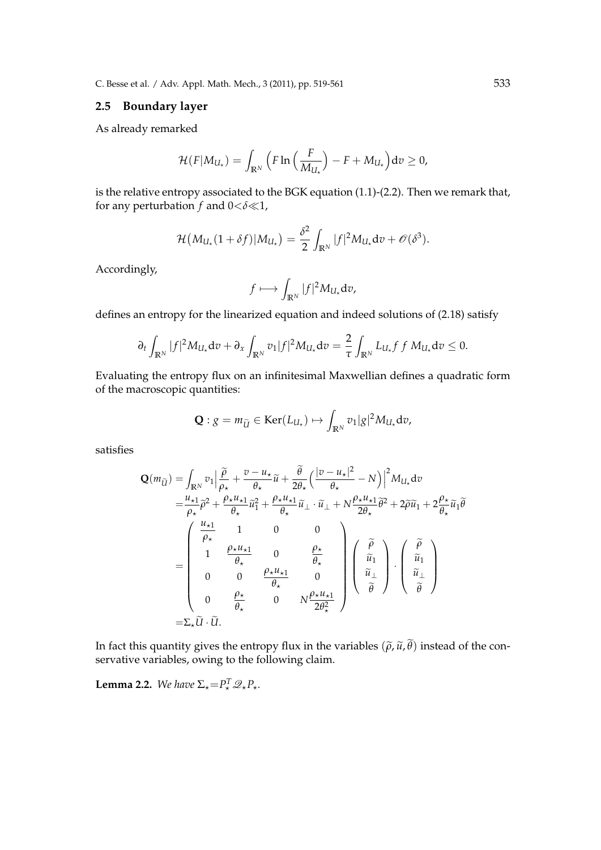C. Besse et al. / Adv. Appl. Math. Mech., 3 (2011), pp. 519-561 533

### **2.5 Boundary layer**

As already remarked

$$
\mathcal{H}(F|M_{U_{\star}})=\int_{\mathbb{R}^N}\Big(F\ln\Big(\frac{F}{M_{U_{\star}}}\Big)-F+M_{U_{\star}}\Big)\mathrm{d}v\geq 0,
$$

is the relative entropy associated to the BGK equation (1.1)-(2.2). Then we remark that, for any perturbation *f* and 0*<δ≪*1,

$$
\mathcal{H}(M_{U_{\star}}(1+\delta f)|M_{U_{\star}})=\frac{\delta^2}{2}\int_{\mathbb{R}^N}|f|^2M_{U_{\star}}\mathrm{d}v+\mathscr{O}(\delta^3).
$$

Accordingly,

$$
f \longmapsto \int_{\mathbb{R}^N} |f|^2 M_{U_{\star}} \mathrm{d} v,
$$

defines an entropy for the linearized equation and indeed solutions of (2.18) satisfy

$$
\partial_t \int_{\mathbb{R}^N} |f|^2 M_{U_\star} dv + \partial_x \int_{\mathbb{R}^N} v_1 |f|^2 M_{U_\star} dv = \frac{2}{\tau} \int_{\mathbb{R}^N} L_{U_\star} f f M_{U_\star} dv \leq 0.
$$

Evaluating the entropy flux on an infinitesimal Maxwellian defines a quadratic form of the macroscopic quantities:

$$
\mathbf{Q}: g = m_{\widetilde{U}} \in \text{Ker}(L_{U_{\star}}) \mapsto \int_{\mathbb{R}^N} v_1 |g|^2 M_{U_{\star}} \, \mathrm{d} v,
$$

satisfies

$$
\mathbf{Q}(m_{\widetilde{U}}) = \int_{\mathbb{R}^N} v_1 \Big| \frac{\widetilde{\rho}}{\rho_\star} + \frac{v - u_\star}{\theta_\star} \widetilde{u} + \frac{\widetilde{\theta}}{2\theta_\star} \Big( \frac{|v - u_\star|^2}{\theta_\star} - N \Big) \Big|^2 M_{U_\star} dv
$$
  
\n
$$
= \frac{u_{\star 1}}{\rho_\star} \widetilde{\rho}^2 + \frac{\rho_\star u_{\star 1}}{\theta_\star} \widetilde{u}_1^2 + \frac{\rho_\star u_{\star 1}}{\theta_\star} \widetilde{u}_\perp \cdot \widetilde{u}_\perp + N \frac{\rho_\star u_{\star 1}}{2\theta_\star} \widetilde{\theta}^2 + 2\widetilde{\rho}\widetilde{u}_1 + 2\frac{\rho_\star}{\theta_\star} \widetilde{u}_1 \widetilde{\theta}
$$
  
\n
$$
= \begin{pmatrix} \frac{u_{\star 1}}{\rho_\star} & 1 & 0 & 0 \\ 1 & \frac{\rho_\star u_{\star 1}}{\theta_\star} & 0 & \frac{\rho_\star}{\theta_\star} \\ 0 & 0 & \frac{\rho_\star u_{\star 1}}{\theta_\star} & 0 \\ 0 & \frac{\rho_\star}{\theta_\star} & 0 & N \frac{\rho_\star u_{\star 1}}{2\theta_\star^2} \end{pmatrix} \begin{pmatrix} \widetilde{\rho} \\ \widetilde{u}_1 \\ \widetilde{u}_1 \\ \widetilde{\theta} \end{pmatrix} \cdot \begin{pmatrix} \widetilde{\rho} \\ \widetilde{u}_1 \\ \widetilde{u}_1 \\ \widetilde{\theta} \end{pmatrix}
$$
  
\n
$$
= \Sigma_\star \widetilde{u} \cdot \widetilde{u}.
$$

In fact this quantity gives the entropy flux in the variables  $(\tilde{\rho}, \tilde{u}, \tilde{\theta})$  instead of the conservative variables, owing to the following claim.

**Lemma 2.2.** We have  $\Sigma_{\star} = P_{\star}^T \mathscr{Q}_{\star} P_{\star}$ .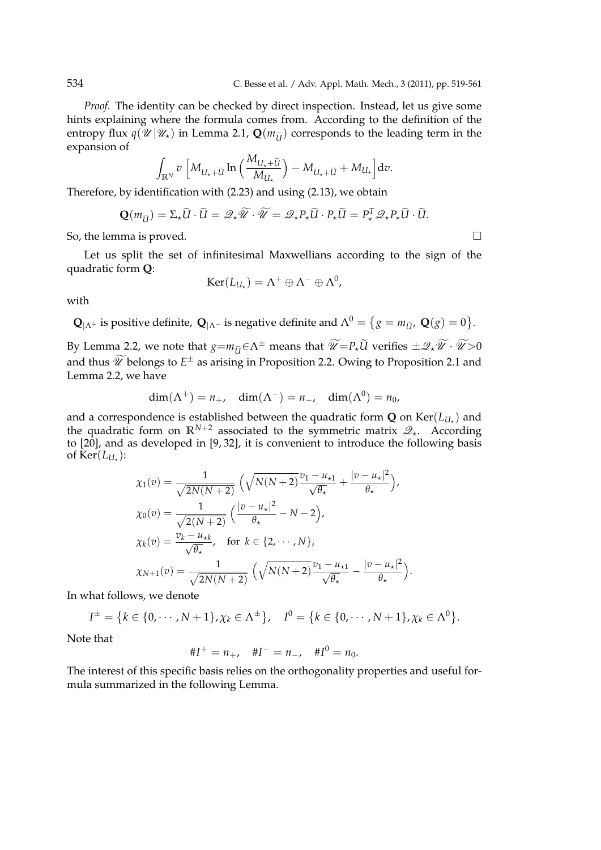*Proof.* The identity can be checked by direct inspection. Instead, let us give some hints explaining where the formula comes from. According to the definition of the entropy flux  $q(\mathcal{U}|\mathcal{U}_\star)$  in Lemma 2.1,  $\mathbf{Q}(m_{\tilde{U}})$  corresponds to the leading term in the expansion of

$$
\int_{\mathbb{R}^N} v \left[ M_{U_\star + \widetilde{U}} \ln \left( \frac{M_{U_\star + \widetilde{U}}}{M_{U_\star}} \right) - M_{U_\star + \widetilde{U}} + M_{U_\star} \right] dv.
$$

Therefore, by identification with (2.23) and using (2.13), we obtain

$$
\mathbf{Q}(m_{\widetilde{U}}) = \Sigma_{\star} \widetilde{U} \cdot \widetilde{U} = \mathscr{Q}_{\star} \widetilde{\mathscr{U}} \cdot \widetilde{\mathscr{U}} = \mathscr{Q}_{\star} P_{\star} \widetilde{U} \cdot P_{\star} \widetilde{U} = P_{\star}^T \mathscr{Q}_{\star} P_{\star} \widetilde{U} \cdot \widetilde{U}.
$$

So, the lemma is proved.  $\Box$ 

Let us split the set of infinitesimal Maxwellians according to the sign of the quadratic form **Q**:

$$
\operatorname{Ker}(L_{U_{\star}})=\Lambda^{+}\oplus\Lambda^{-}\oplus\Lambda^{0},
$$

with

 $\mathbf{Q}_{|\Lambda^+}$  is positive definite,  $\mathbf{Q}_{|\Lambda^-}$  is negative definite and  $\Lambda^0 = \{g = m_{\tilde{U}'} , \mathbf{Q}(g) = 0 \}.$ 

By Lemma 2.2, we note that  $g = m_{\tilde{U}} \in \Lambda^{\pm}$  means that  $\widetilde{\mathscr{U}} = P_{\star} \widetilde{U}$  verifies  $\pm \mathscr{Q}_{\star} \widetilde{\mathscr{U}} \cdot \widetilde{\mathscr{U}} > 0$ and thus  $\widetilde{\mathscr{U}}$  belongs to  $E^{\pm}$  as arising in Proposition 2.2. Owing to Proposition 2.1 and Lemma 2.2, we have

$$
\dim(\Lambda^+) = n_+, \quad \dim(\Lambda^-) = n_-, \quad \dim(\Lambda^0) = n_0,
$$

and a correspondence is established between the quadratic form  $\mathbf Q$  on  $\text{Ker} (L_{U_\star})$  and the quadratic form on **R***N*+<sup>2</sup> associated to the symmetric matrix *Q⋆*. According to [20], and as developed in [9, 32], it is convenient to introduce the following basis of  $\text{Ker}(L_{U_\star})$ :

$$
\chi_1(v) = \frac{1}{\sqrt{2N(N+2)}} \left( \sqrt{N(N+2)} \frac{v_1 - u_{\star 1}}{\sqrt{\theta_{\star}}} + \frac{|v - u_{\star}|^2}{\theta_{\star}} \right),
$$
  
\n
$$
\chi_0(v) = \frac{1}{\sqrt{2(N+2)}} \left( \frac{|v - u_{\star}|^2}{\theta_{\star}} - N - 2 \right),
$$
  
\n
$$
\chi_k(v) = \frac{v_k - u_{\star k}}{\sqrt{\theta_{\star}}}, \text{ for } k \in \{2, \cdots, N\},
$$
  
\n
$$
\chi_{N+1}(v) = \frac{1}{\sqrt{2N(N+2)}} \left( \sqrt{N(N+2)} \frac{v_1 - u_{\star 1}}{\sqrt{\theta_{\star}}} - \frac{|v - u_{\star}|^2}{\theta_{\star}} \right).
$$

In what follows, we denote

$$
I^{\pm} = \{k \in \{0, \cdots, N+1\}, \chi_k \in \Lambda^{\pm}\}, \quad I^0 = \{k \in \{0, \cdots, N+1\}, \chi_k \in \Lambda^0\}.
$$

Note that

$$
\#I^+ = n_+, \quad \#I^- = n_-, \quad \#I^0 = n_0.
$$

The interest of this specific basis relies on the orthogonality properties and useful formula summarized in the following Lemma.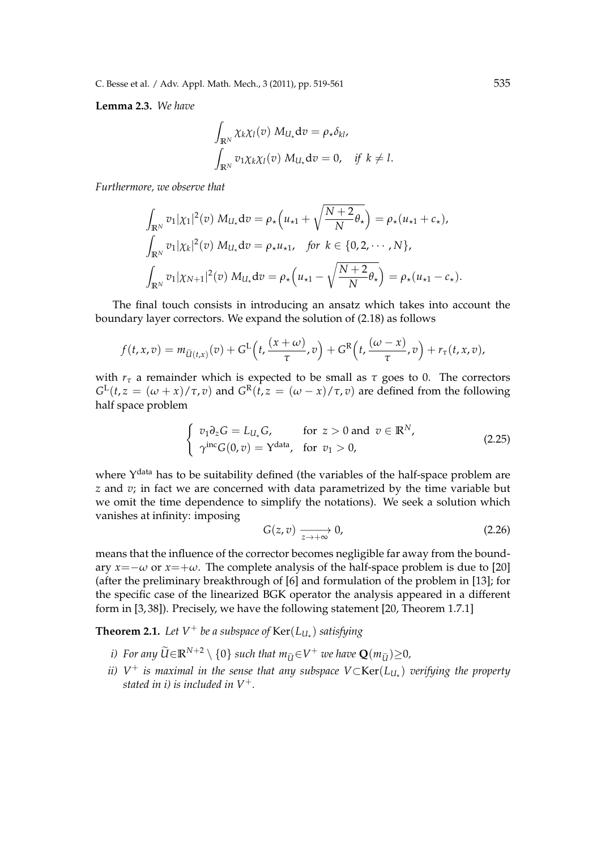C. Besse et al. / Adv. Appl. Math. Mech., 3 (2011), pp. 519-561 535

**Lemma 2.3.** *We have*

$$
\int_{\mathbb{R}^N} \chi_k \chi_l(v) M_{U_*} dv = \rho_* \delta_{kl},
$$
  

$$
\int_{\mathbb{R}^N} v_1 \chi_k \chi_l(v) M_{U_*} dv = 0, \quad \text{if } k \neq l.
$$

*Furthermore, we observe that*

$$
\int_{\mathbb{R}^N} v_1 |\chi_1|^2(v) M_{U_\star} dv = \rho_\star \left( u_{\star 1} + \sqrt{\frac{N+2}{N}} \theta_\star \right) = \rho_\star (u_{\star 1} + c_\star),
$$
\n
$$
\int_{\mathbb{R}^N} v_1 |\chi_k|^2(v) M_{U_\star} dv = \rho_\star u_{\star 1}, \quad \text{for } k \in \{0, 2, \cdots, N\},
$$
\n
$$
\int_{\mathbb{R}^N} v_1 |\chi_{N+1}|^2(v) M_{U_\star} dv = \rho_\star \left( u_{\star 1} - \sqrt{\frac{N+2}{N}} \theta_\star \right) = \rho_\star (u_{\star 1} - c_\star).
$$

The final touch consists in introducing an ansatz which takes into account the boundary layer correctors. We expand the solution of (2.18) as follows

$$
f(t,x,v)=m_{\widetilde{U}(t,x)}(v)+G^{\mathrm{L}}\left(t,\frac{(x+\omega)}{\tau},v\right)+G^{\mathrm{R}}\left(t,\frac{(\omega-x)}{\tau},v\right)+r_{\tau}(t,x,v),
$$

with  $r<sub>\tau</sub>$  a remainder which is expected to be small as  $\tau$  goes to 0. The correctors  $G<sup>L</sup>(t, z = (\omega + x)/\tau, v)$  and  $G<sup>R</sup>(t, z = (\omega - x)/\tau, v)$  are defined from the following half space problem

$$
\begin{cases}\nv_1 \partial_z G = L_{U_*} G, & \text{for } z > 0 \text{ and } v \in \mathbb{R}^N, \\
\gamma^{\text{inc}} G(0, v) = Y^{\text{data}}, & \text{for } v_1 > 0,\n\end{cases}
$$
\n(2.25)

where Y<sup>data</sup> has to be suitability defined (the variables of the half-space problem are *z* and *v*; in fact we are concerned with data parametrized by the time variable but we omit the time dependence to simplify the notations). We seek a solution which vanishes at infinity: imposing

$$
G(z,v) \xrightarrow[z \to +\infty]{} 0,
$$
\n
$$
(2.26)
$$

means that the influence of the corrector becomes negligible far away from the boundary  $x = -\omega$  or  $x = +\omega$ . The complete analysis of the half-space problem is due to [20] (after the preliminary breakthrough of [6] and formulation of the problem in [13]; for the specific case of the linearized BGK operator the analysis appeared in a different form in [3, 38]). Precisely, we have the following statement [20, Theorem 1.7.1]

**Theorem 2.1.** Let  $V^+$  be a subspace of  $\text{Ker}(L_{U_\star})$  satisfying

- *i*) For any  $\widetilde{U}$ ∈**R**<sup>*N*+2</sup>  $\setminus$  {0} such that  $m_{\widetilde{U}}$ ∈*V*<sup>+</sup> we have  $Q(m_{\widetilde{U}}) \geq 0$ *,*
- *ii) V* <sup>+</sup> *is maximal in the sense that any subspace V⊂*Ker(*LU<sup>⋆</sup>* ) *verifying the property stated in i) is included in V*+*.*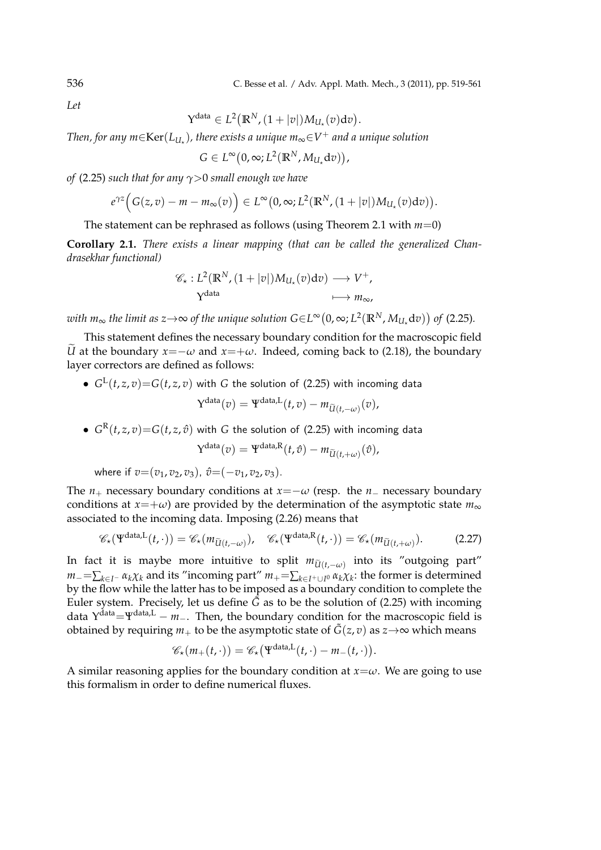*Let*

$$
\Upsilon^{\text{data}}\in L^2\big(\mathbb{R}^N,(1+|v|)M_{U_\star}(v)\text{d} v\big).
$$

*Then, for any m∈*Ker(*LU<sup>⋆</sup>* )*, there exists a unique m*∞*∈V* <sup>+</sup> *and a unique solution*

$$
G\in L^{\infty}\big(0,\infty;L^{2}(\mathbb{R}^{N},M_{U_{\star}}\mathrm{d}v)\big),
$$

*of* (2.25) *such that for any γ>*0 *small enough we have*

$$
e^{\gamma z}\Big(G(z,v)-m-m_{\infty}(v)\Big)\in L^{\infty}(0,\infty;L^{2}(\mathbb{R}^{N},(1+|v|)M_{U_{\star}}(v)\mathrm{d}v)\Big).
$$

The statement can be rephrased as follows (using Theorem 2.1 with *m*=0)

**Corollary 2.1.** *There exists a linear mapping (that can be called the generalized Chandrasekhar functional)*

$$
\mathscr{C}_{\star}: L^{2}(\mathbb{R}^{N}, (1+|v|)M_{U_{\star}}(v)dv) \longrightarrow V^{+},
$$
  

$$
Y^{\text{data}} \longmapsto m_{\infty},
$$

 $w$ ith  $m_\infty$  the limit as  $z$ → $\infty$  of the unique solution  $G$ ∈L $^\infty(0,\infty; L^2(\mathbb{R}^N,M_{U_\star}\mathrm{d} v))$  of (2.25).

This statement defines the necessary boundary condition for the macroscopic field *U* at the boundary  $x = -\omega$  and  $x = +\omega$ . Indeed, coming back to (2.18), the boundary layer correctors are defined as follows:

 $\bullet$   $G^{\textrm{L}}(t,z,v){=}G(t,z,v)$  with  $G$  the solution of (2.25) with incoming data

$$
\Upsilon^{\text{data}}(v) = \Psi^{\text{data},L}(t,v) - m_{\widetilde{U}(t,-\omega)}(v),
$$

 $\bullet$   $G^{\rm R}(t,z,v){=}G(t,z,\hat v)$  with  $G$  the solution of (2.25) with incoming data

$$
\mathbf{Y}^{\text{data}}(v) = \mathbf{Y}^{\text{data},R}(t,\hat{v}) - m_{\widetilde{U}(t,+\omega)}(\hat{v}),
$$

where if  $v=(v_1, v_2, v_3), \hat{v}=(-v_1, v_2, v_3).$ 

The  $n_+$  necessary boundary conditions at  $x = -\omega$  (resp. the  $n_-$  necessary boundary conditions at *x*=+*ω*) are provided by the determination of the asymptotic state  $m_{\infty}$ associated to the incoming data. Imposing (2.26) means that

$$
\mathscr{C}_{\star}(\Psi^{\text{data},L}(t,\cdot)) = \mathscr{C}_{\star}(m_{\widetilde{U}(t,-\omega)}), \quad \mathscr{C}_{\star}(\Psi^{\text{data},R}(t,\cdot)) = \mathscr{C}_{\star}(m_{\widetilde{U}(t,+\omega)}).
$$
 (2.27)

In fact it is maybe more intuitive to split  $m_{\tilde{U}(t,-\omega)}$  into its "outgoing part" *m−*=∑*k∈I<sup>−</sup> αkχ<sup>k</sup>* and its "incoming part" *m*+=∑*k∈I*+*∪<sup>I</sup>* <sup>0</sup> *αkχ<sup>k</sup>* : the former is determined by the flow while the latter has to be imposed as a boundary condition to complete the Euler system. Precisely, let us define  $\tilde{G}$  as to be the solution of (2.25) with incoming data Υ data=Ψdata,L *− m−*. Then, the boundary condition for the macroscopic field is obtained by requiring  $m_+$  to be the asymptotic state of  $\tilde{G}(z, v)$  as  $z \rightarrow \infty$  which means

$$
\mathscr{C}_{\star}(m_{+}(t,\cdot))=\mathscr{C}_{\star}(\Psi^{\text{data},L}(t,\cdot)-m_{-}(t,\cdot)).
$$

A similar reasoning applies for the boundary condition at  $x = \omega$ . We are going to use this formalism in order to define numerical fluxes.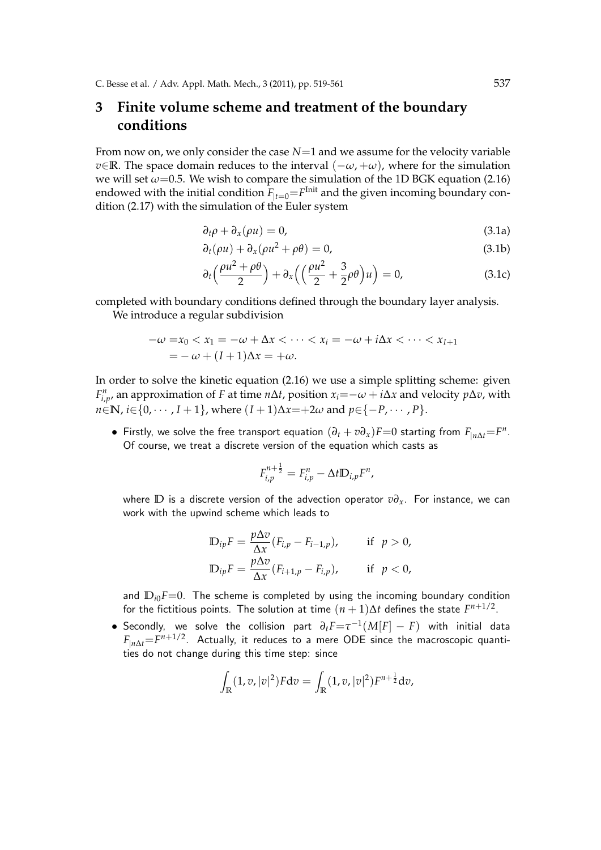## **3 Finite volume scheme and treatment of the boundary conditions**

From now on, we only consider the case *N*=1 and we assume for the velocity variable *v*∈**R**. The space domain reduces to the interval  $(-\omega, +\omega)$ , where for the simulation we will set  $\omega$ =0.5. We wish to compare the simulation of the 1D BGK equation (2.16) endowed with the initial condition  $F_{|t=0}{=}F^{\text{Init}}$  and the given incoming boundary condition (2.17) with the simulation of the Euler system

$$
\partial_t \rho + \partial_x (\rho u) = 0, \tag{3.1a}
$$

$$
\partial_t(\rho u) + \partial_x(\rho u^2 + \rho \theta) = 0,\tag{3.1b}
$$

$$
\partial_t \left( \frac{\rho u^2 + \rho \theta}{2} \right) + \partial_x \left( \left( \frac{\rho u^2}{2} + \frac{3}{2} \rho \theta \right) u \right) = 0, \tag{3.1c}
$$

completed with boundary conditions defined through the boundary layer analysis. We introduce a regular subdivision

$$
-\omega = x_0 < x_1 = -\omega + \Delta x < \cdots < x_i = -\omega + i\Delta x < \cdots < x_{I+1} \\
 = -\omega + (I+1)\Delta x = +\omega.
$$

In order to solve the kinetic equation (2.16) we use a simple splitting scheme: given  $F_{i,p}^n$ , an approximation of *F* at time *n*∆*t*, position  $x_i = -\omega + i\Delta x$  and velocity *p*∆*v*, with *n*∈**N**, *i*∈{0, · · · , *I* + 1}, where  $(I + 1)\Delta x = +2\omega$  and  $p ∈ {−P, · · · , P}$ .

*•* Firstly, we solve the free transport equation  $(\partial_t + v \partial_x)F = 0$  starting from  $F_{|n\Delta t} = F^n$ . Of course, we treat a discrete version of the equation which casts as

$$
F_{i,p}^{n+\frac{1}{2}}=F_{i,p}^n-\Delta t \mathbb{D}_{i,p}F^n,
$$

where **D** is a discrete version of the advection operator *v∂x*. For instance, we can work with the upwind scheme which leads to

$$
\mathbb{D}_{ip}F = \frac{p\Delta v}{\Delta x}(F_{i,p} - F_{i-1,p}), \quad \text{if } p > 0,
$$
  

$$
\mathbb{D}_{ip}F = \frac{p\Delta v}{\Delta x}(F_{i+1,p} - F_{i,p}), \quad \text{if } p < 0,
$$

and  $D_{i0}F=0$ . The scheme is completed by using the incoming boundary condition for the fictitious points. The solution at time  $(n+1)\Delta t$  defines the state  $F^{n+1/2}.$ 

*•* Secondly, we solve the collision part *∂tF*=*τ −*1 (*M*[*F*] *− F*) with initial data *F|n*∆*t*=*F <sup>n</sup>*+1/2. Actually, it reduces to a mere ODE since the macroscopic quantities do not change during this time step: since

$$
\int_{\mathbb{R}} (1, v, |v|^2) F dv = \int_{\mathbb{R}} (1, v, |v|^2) F^{n + \frac{1}{2}} dv,
$$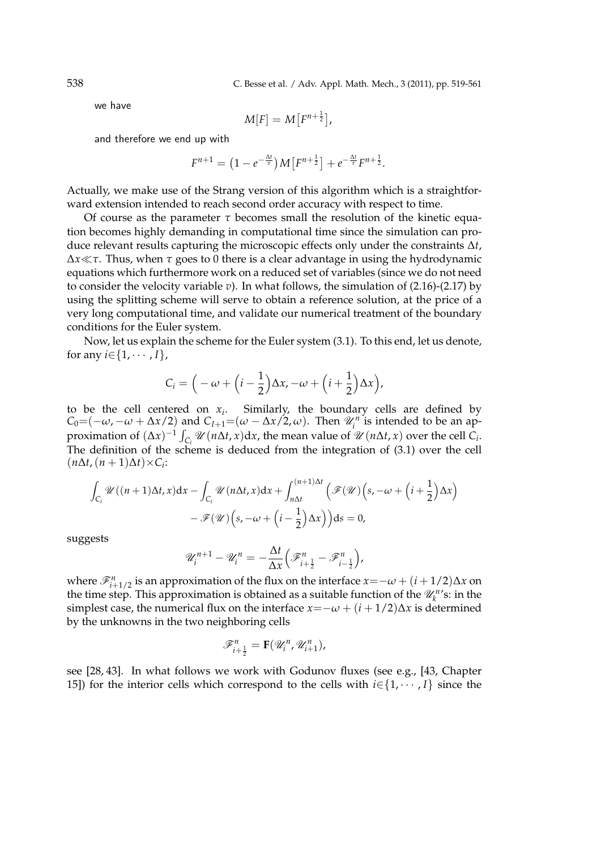538 C. Besse et al. / Adv. Appl. Math. Mech., 3 (2011), pp. 519-561

we have

$$
M[F] = M[F^{n+\frac{1}{2}}],
$$

and therefore we end up with

$$
F^{n+1} = \left(1 - e^{-\frac{\Delta t}{\tau}}\right)M\left[F^{n+\frac{1}{2}}\right] + e^{-\frac{\Delta t}{\tau}}F^{n+\frac{1}{2}}.
$$

Actually, we make use of the Strang version of this algorithm which is a straightforward extension intended to reach second order accuracy with respect to time.

Of course as the parameter *τ* becomes small the resolution of the kinetic equation becomes highly demanding in computational time since the simulation can produce relevant results capturing the microscopic effects only under the constraints ∆*t*, ∆*x≪τ*. Thus, when *τ* goes to 0 there is a clear advantage in using the hydrodynamic equations which furthermore work on a reduced set of variables (since we do not need to consider the velocity variable *v*). In what follows, the simulation of (2.16)-(2.17) by using the splitting scheme will serve to obtain a reference solution, at the price of a very long computational time, and validate our numerical treatment of the boundary conditions for the Euler system.

Now, let us explain the scheme for the Euler system (3.1). To this end, let us denote, for any  $i \in \{1, \cdots, I\}$ ,

$$
C_i = \left(-\omega + \left(i-\frac{1}{2}\right)\Delta x, -\omega + \left(i+\frac{1}{2}\right)\Delta x\right),\,
$$

to be the cell centered on  $x_i$ . Similarly, the boundary cells are defined by *C*<sub>0</sub>=(*−ω*, *−ω* + ∆*x*/2) and *C*<sub>*I*+1</sub>=(*ω* − ∆*x*/2, *ω*). Then  $\mathcal{U}_i^n$  is intended to be an approximation of  $(\Delta x)^{-1} \int_{C_i} \mathcal{U}(n\Delta t, x) dx$ , the mean value of  $\mathcal{U}(n\Delta t, x)$  over the cell  $C_i$ . The definition of the scheme is deduced from the integration of (3.1) over the cell  $(n\Delta t, (n+1)\Delta t) \times C_i$ 

$$
\int_{C_i} \mathscr{U}((n+1)\Delta t, x) dx - \int_{C_i} \mathscr{U}(n\Delta t, x) dx + \int_{n\Delta t}^{(n+1)\Delta t} (\mathscr{F}(\mathscr{U})\left(s, -\omega + \left(i + \frac{1}{2}\right)\Delta x\right) - \mathscr{F}(\mathscr{U})\left(s, -\omega + \left(i - \frac{1}{2}\right)\Delta x\right)) ds = 0,
$$

suggests

$$
\mathscr{U}_i^{n+1} - \mathscr{U}_i^{n} = -\frac{\Delta t}{\Delta x} \left( \mathscr{F}_{i+\frac{1}{2}}^n - \mathscr{F}_{i-\frac{1}{2}}^n \right),
$$

where  $\mathscr{F}_{i+1/2}^n$  is an approximation of the flux on the interface  $x = -\omega + (i + 1/2)\Delta x$  on the time step. This approximation is obtained as a suitable function of the  $\mathcal{U}_k^{n}$ 's: in the simplest case, the numerical flux on the interface  $x = -\omega + (i + 1/2)\Delta x$  is determined by the unknowns in the two neighboring cells

$$
\mathscr{F}_{i+\frac{1}{2}}^n = \mathbf{F}(\mathscr{U}_i^n, \mathscr{U}_{i+1}^n),
$$

see [28, 43]. In what follows we work with Godunov fluxes (see e.g., [43, Chapter 15]) for the interior cells which correspond to the cells with  $i \in \{1, \dots, I\}$  since the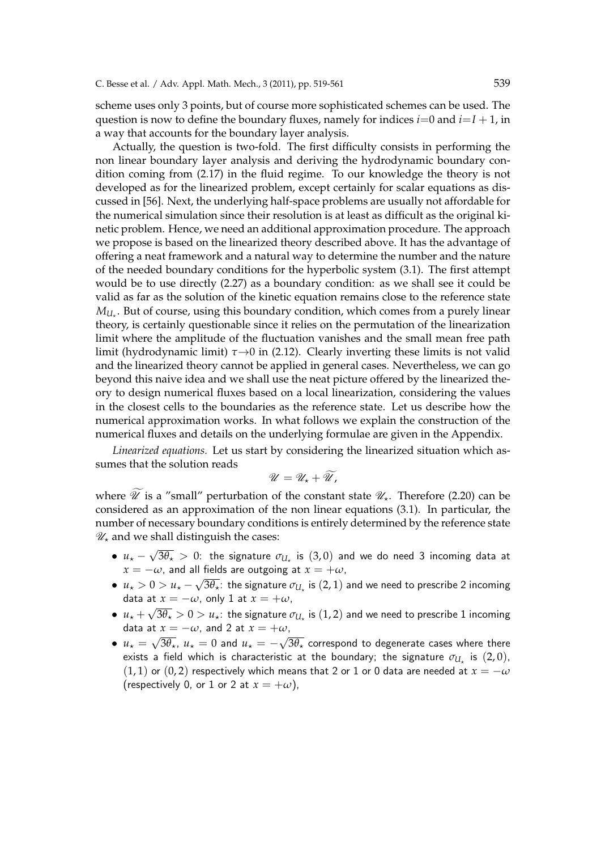scheme uses only 3 points, but of course more sophisticated schemes can be used. The question is now to define the boundary fluxes, namely for indices  $i=0$  and  $i=1+1$ , in a way that accounts for the boundary layer analysis.

Actually, the question is two-fold. The first difficulty consists in performing the non linear boundary layer analysis and deriving the hydrodynamic boundary condition coming from (2.17) in the fluid regime. To our knowledge the theory is not developed as for the linearized problem, except certainly for scalar equations as discussed in [56]. Next, the underlying half-space problems are usually not affordable for the numerical simulation since their resolution is at least as difficult as the original kinetic problem. Hence, we need an additional approximation procedure. The approach we propose is based on the linearized theory described above. It has the advantage of offering a neat framework and a natural way to determine the number and the nature of the needed boundary conditions for the hyperbolic system (3.1). The first attempt would be to use directly (2.27) as a boundary condition: as we shall see it could be valid as far as the solution of the kinetic equation remains close to the reference state  $M_{U_{\star}}.$  But of course, using this boundary condition, which comes from a purely linear theory, is certainly questionable since it relies on the permutation of the linearization limit where the amplitude of the fluctuation vanishes and the small mean free path limit (hydrodynamic limit) *τ→*0 in (2.12). Clearly inverting these limits is not valid and the linearized theory cannot be applied in general cases. Nevertheless, we can go beyond this naive idea and we shall use the neat picture offered by the linearized theory to design numerical fluxes based on a local linearization, considering the values in the closest cells to the boundaries as the reference state. Let us describe how the numerical approximation works. In what follows we explain the construction of the numerical fluxes and details on the underlying formulae are given in the Appendix.

*Linearized equations.* Let us start by considering the linearized situation which assumes that the solution reads

$$
\mathscr{U}=\mathscr{U}_\star+\widetilde{\mathscr{U}},
$$

where  $\mathscr U$  is a "small" perturbation of the constant state  $\mathscr U_\star$ . Therefore (2.20) can be considered as an approximation of the non linear equations (3.1). In particular, the number of necessary boundary conditions is entirely determined by the reference state *U⋆* and we shall distinguish the cases:

- *• u<sup>⋆</sup> − √*  $\overline{3\theta_\star} > 0$ : the signature  $\sigma_{U_\star}$  is  $(3,0)$  and we do need 3 incoming data at  $x = -\omega$ , and all fields are outgoing at  $x = +\omega$ , *√*
- *• u<sup>⋆</sup> >* 0 *> u<sup>⋆</sup> −*  $\overline{3\theta_\star}$ : the signature  $\sigma_{U_\star}$  is  $(2,1)$  and we need to prescribe 2 incoming data at  $x = -\omega$ , only 1 at  $x = +\omega$ ,
- $\bullet$   $u_\star + \sqrt{3\theta_\star} > 0 > u_\star$ : the signature  $\sigma_{U_\star}$  is  $(1,2)$  and we need to prescribe  $1$  incoming data at  $x = -\omega$ , and 2 at  $x = +\omega$ , *√ √*
- $u_{\star} =$  $\overline{3\theta_\star}$ ,  $u_\star = 0$  and  $u_\star = 3\theta_\star$  correspond to degenerate cases where there exists a field which is characteristic at the boundary; the signature  $\sigma_{U_\star}$  is  $(2,0),$  $(1, 1)$  or  $(0, 2)$  respectively which means that 2 or 1 or 0 data are needed at  $x = -\omega$ (respectively 0, or 1 or 2 at  $x = +\omega$ ),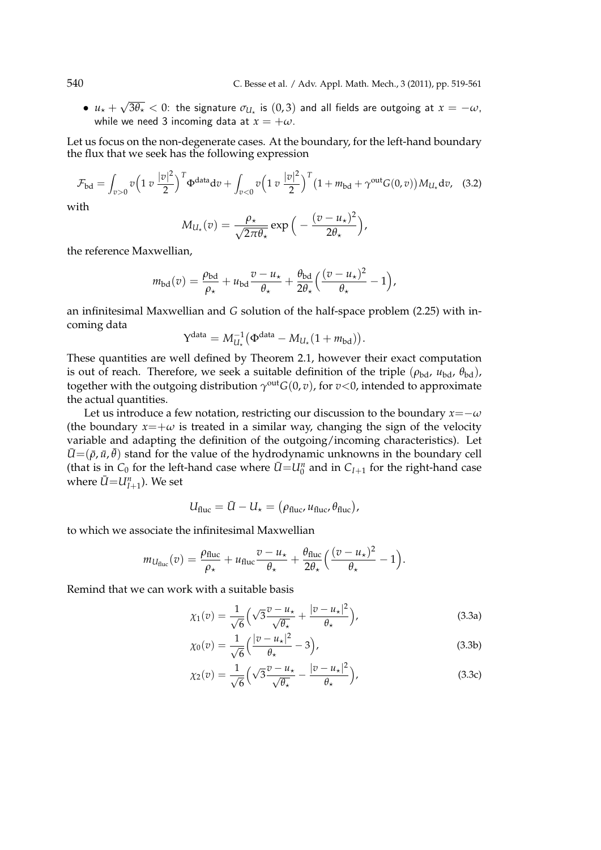•  $u_{\star}$  + *√*  $3\theta_\star < 0$ : the signature  $\sigma_{U_\star}$  is  $(0, 3)$  and all fields are outgoing at  $x=-\omega,$ while we need 3 incoming data at  $x = +\omega$ .

Let us focus on the non-degenerate cases. At the boundary, for the left-hand boundary the flux that we seek has the following expression

$$
\mathcal{F}_{\text{bd}} = \int_{v>0} v \left( 1 \, v \, \frac{|v|^2}{2} \right)^T \Phi^{\text{data}} dv + \int_{v<0} v \left( 1 \, v \, \frac{|v|^2}{2} \right)^T \left( 1 + m_{\text{bd}} + \gamma^{\text{out}} G(0, v) \right) M_{U_{\star}} dv, \tag{3.2}
$$

with

$$
M_{U_{\star}}(v) = \frac{\rho_{\star}}{\sqrt{2\pi\theta_{\star}}}\exp\Big(-\frac{(v-u_{\star})^2}{2\theta_{\star}}\Big),\,
$$

the reference Maxwellian,

$$
m_{\text{bd}}(v) = \frac{\rho_{\text{bd}}}{\rho_{\star}} + u_{\text{bd}} \frac{v - u_{\star}}{\theta_{\star}} + \frac{\theta_{\text{bd}}}{2\theta_{\star}} \left( \frac{(v - u_{\star})^2}{\theta_{\star}} - 1 \right),
$$

an infinitesimal Maxwellian and *G* solution of the half-space problem (2.25) with incoming data

$$
Y^{\text{data}} = M_{U_{\star}}^{-1} (\Phi^{\text{data}} - M_{U_{\star}}(1 + m_{\text{bd}})).
$$

These quantities are well defined by Theorem 2.1, however their exact computation is out of reach. Therefore, we seek a suitable definition of the triple  $(\rho_{\text{bd}}, u_{\text{bd}}, \theta_{\text{bd}})$ , together with the outgoing distribution  $\gamma^\text{out}G(0,v)$ , for  $v$ <0, intended to approximate the actual quantities.

Let us introduce a few notation, restricting our discussion to the boundary  $x = -\omega$ (the boundary  $x = +\omega$  is treated in a similar way, changing the sign of the velocity variable and adapting the definition of the outgoing/incoming characteristics). Let  $\bar{U} = (\bar{\rho}, \bar{u}, \bar{\theta})$  stand for the value of the hydrodynamic unknowns in the boundary cell (that is in *C*<sub>0</sub> for the left-hand case where  $\bar{U} = U_0^n$  and in  $C_{I+1}$  for the right-hand case where  $\bar{U}$ = $U_{I+1}^n$ ). We set

$$
U_{\text{fluc}} = \bar{U} - U_{\star} = (\rho_{\text{fluc}}, u_{\text{fluc}}, \theta_{\text{fluc}}),
$$

to which we associate the infinitesimal Maxwellian

$$
m_{U_{\text{fluc}}}(v) = \frac{\rho_{\text{fluc}}}{\rho_{\star}} + u_{\text{fluc}} \frac{v - u_{\star}}{\theta_{\star}} + \frac{\theta_{\text{fluc}}}{2\theta_{\star}} \left(\frac{(v - u_{\star})^2}{\theta_{\star}} - 1\right).
$$

Remind that we can work with a suitable basis

$$
\chi_1(v) = \frac{1}{\sqrt{6}} \left( \sqrt{3} \frac{v - u_\star}{\sqrt{\theta_\star}} + \frac{|v - u_\star|^2}{\theta_\star} \right),\tag{3.3a}
$$

$$
\chi_0(v) = \frac{1}{\sqrt{6}} \left( \frac{|v - u_\star|^2}{\theta_\star} - 3 \right),\tag{3.3b}
$$

$$
\chi_2(v) = \frac{1}{\sqrt{6}} \left( \sqrt{3} \frac{v - u_\star}{\sqrt{\theta_\star}} - \frac{|v - u_\star|^2}{\theta_\star} \right),\tag{3.3c}
$$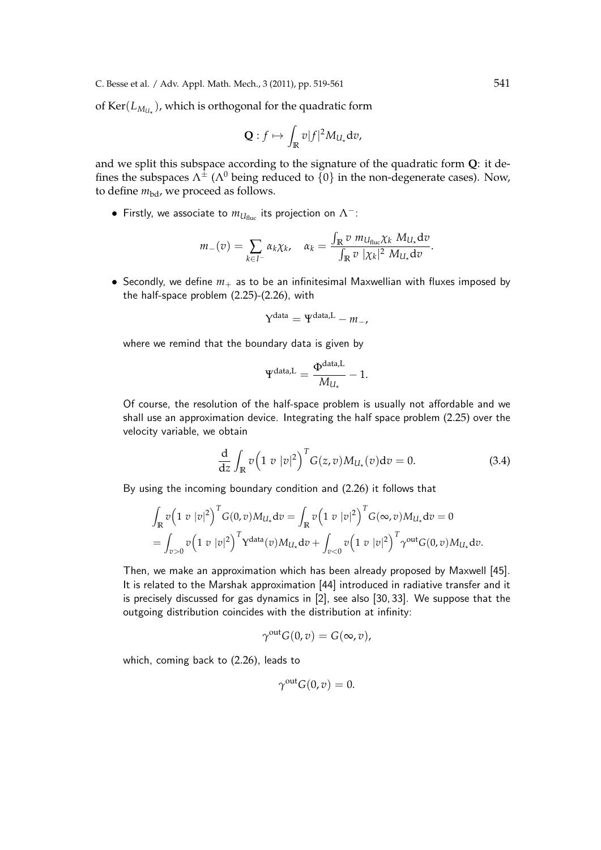of  $\text{Ker}(L_{M_{U_\star}})$ , which is orthogonal for the quadratic form

$$
\mathbf{Q}:f\mapsto \int_{\mathbb{R}}v|f|^{2}M_{U_{\star}}\mathrm{d}v,
$$

and we split this subspace according to the signature of the quadratic form **Q**: it defines the subspaces  $\Lambda^{\pm}$  ( $\Lambda^{0}$  being reduced to  $\{0\}$  in the non-degenerate cases). Now, to define  $m_{\text{bd}}$ , we proceed as follows.

**•** Firstly, we associate to  $m_{U_{\text{fluc}}}$  its projection on  $Λ^-$ :

$$
m_{-}(v) = \sum_{k \in I^{-}} \alpha_{k} \chi_{k}, \quad \alpha_{k} = \frac{\int_{\mathbb{R}} v \ m_{U_{\text{fluc}}} \chi_{k} \ M_{U_{\star}} dv}{\int_{\mathbb{R}} v \ |\chi_{k}|^{2} \ M_{U_{\star}} dv}.
$$

• Secondly, we define  $m_+$  as to be an infinitesimal Maxwellian with fluxes imposed by the half-space problem (2.25)-(2.26), with

$$
Y^{data} = \Psi^{data,L} - m_-,
$$

where we remind that the boundary data is given by

$$
\Psi^{\text{data,L}} = \frac{\Phi^{\text{data,L}}}{M_{U_\star}} - 1.
$$

Of course, the resolution of the half-space problem is usually not affordable and we shall use an approximation device. Integrating the half space problem (2.25) over the velocity variable, we obtain

$$
\frac{\mathrm{d}}{\mathrm{d}z} \int_{\mathbb{R}} v \left( 1 \ v \ |v|^2 \right)^T G(z, v) M_{U_\star}(v) \mathrm{d}v = 0. \tag{3.4}
$$

By using the incoming boundary condition and (2.26) it follows that

$$
\int_{\mathbb{R}} v \left( 1 \ v \ |v|^2 \right)^T G(0, v) M_{U_{\star}} dv = \int_{\mathbb{R}} v \left( 1 \ v \ |v|^2 \right)^T G(\infty, v) M_{U_{\star}} dv = 0
$$
\n
$$
= \int_{v>0} v \left( 1 \ v \ |v|^2 \right)^T Y^{\text{data}}(v) M_{U_{\star}} dv + \int_{v<0} v \left( 1 \ v \ |v|^2 \right)^T \gamma^{\text{out}} G(0, v) M_{U_{\star}} dv.
$$

Then, we make an approximation which has been already proposed by Maxwell [45]. It is related to the Marshak approximation [44] introduced in radiative transfer and it is precisely discussed for gas dynamics in [2], see also [30, 33]. We suppose that the outgoing distribution coincides with the distribution at infinity:

$$
\gamma^{\text{out}} G(0, v) = G(\infty, v),
$$

which, coming back to (2.26), leads to

$$
\gamma^{\text{out}}G(0,v)=0.
$$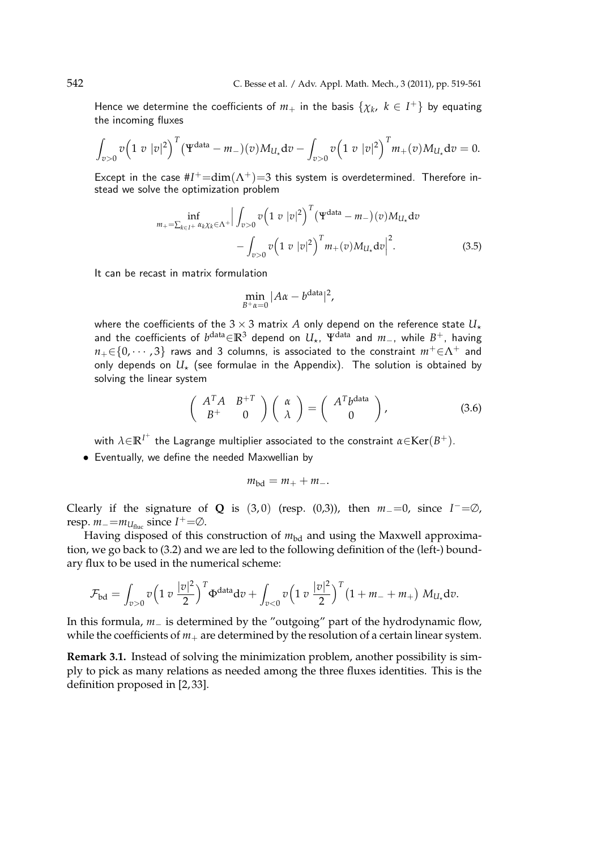Hence we determine the coefficients of  $m_+$  in the basis  $\{\chi_k,~k\in I^+\}$  by equating the incoming fluxes

$$
\int_{v>0} v \Big(1\ v\ |v|^2\Big)^T \big( \Psi^{\text{data}} - m_-\big)(v) M_{U_\star} \mathrm{d} v - \int_{v>0} v \Big(1\ v\ |v|^2\Big)^T m_+(v) M_{U_\star} \mathrm{d} v = 0.
$$

Except in the case  $#I^+=dim(\Lambda^+)=3$  this system is overdetermined. Therefore instead we solve the optimization problem

$$
\inf_{m_{+}=\sum_{k\in I^{+}}\alpha_{k}\chi_{k}\in\Lambda^{+}}\Big|\int_{v>0}^{v}\left(1\,\,v\,\,|v|^{2}\right)^{T}\left(\Psi^{\text{data}}-m_{-}\right)(v)M_{U_{\star}}\text{d}v
$$
\n
$$
-\int_{v>0}^{v}\left(1\,\,v\,\,|v|^{2}\right)^{T}m_{+}(v)M_{U_{\star}}\text{d}v\Big|^{2}.\tag{3.5}
$$

It can be recast in matrix formulation

$$
\min_{B^+\alpha=0}|A\alpha-b^{\text{data}}|^2,
$$

where the coefficients of the  $3 \times 3$  matrix  $A$  only depend on the reference state  $U_{\star}$ and the coefficients of *b* data*∈***R**<sup>3</sup> depend on *U⋆*, Ψdata and *m−*, while *B* <sup>+</sup>, having  $n_{+} \in \{0, \dots, 3\}$  raws and 3 columns, is associated to the constraint  $m^{+} \in \Lambda^{+}$  and only depends on  $U^*$  (see formulae in the Appendix). The solution is obtained by solving the linear system

$$
\begin{pmatrix} A^T A & B^{+T} \\ B^{+} & 0 \end{pmatrix} \begin{pmatrix} \alpha \\ \lambda \end{pmatrix} = \begin{pmatrix} A^T b^{\text{data}} \\ 0 \end{pmatrix}, \tag{3.6}
$$

with  $\lambda\!\in\!\mathbb{R}^{I^+}$  the Lagrange multiplier associated to the constraint  $\alpha\!\in\!\mathrm{Ker}(B^+)$ .

*•* Eventually, we define the needed Maxwellian by

$$
m_{\rm bd}=m_++m_-.
$$

Clearly if the signature of **Q** is  $(3, 0)$  (resp.  $(0,3)$ ), then  $m_0 = 0$ , since  $I^- = \emptyset$ , resp.  $m_-=m_{U_{\text{fluc}}}$  since  $I^+=\emptyset$ .

Having disposed of this construction of  $m_{\text{bd}}$  and using the Maxwell approximation, we go back to (3.2) and we are led to the following definition of the (left-) boundary flux to be used in the numerical scheme:

$$
\mathcal{F}_{\rm bd} = \int_{v>0} v \Big( 1 \, v \, \frac{|v|^2}{2} \Big)^T \Phi^{\rm data} dv + \int_{v<0} v \Big( 1 \, v \, \frac{|v|^2}{2} \Big)^T \big( 1 + m_- + m_+ \big) \, M_{U_\star} dv.
$$

In this formula, *m−* is determined by the "outgoing" part of the hydrodynamic flow, while the coefficients of  $m_+$  are determined by the resolution of a certain linear system.

**Remark 3.1.** Instead of solving the minimization problem, another possibility is simply to pick as many relations as needed among the three fluxes identities. This is the definition proposed in [2, 33].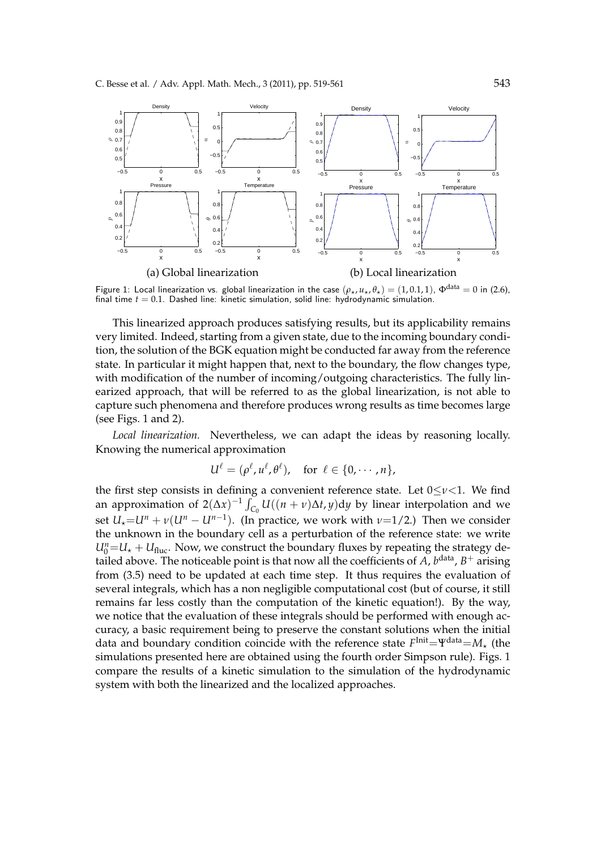

Figure 1: Local linearization vs. global linearization in the case  $(\rho_\star, u_\star, \theta_\star) = (1, 0.1, 1)$ ,  $\Phi^{\text{data}} = 0$  in (2.6), final time *t* = 0.1. Dashed line: kinetic simulation, solid line: hydrodynamic simulation.

This linearized approach produces satisfying results, but its applicability remains very limited. Indeed, starting from a given state, due to the incoming boundary condition, the solution of the BGK equation might be conducted far away from the reference state. In particular it might happen that, next to the boundary, the flow changes type, with modification of the number of incoming/outgoing characteristics. The fully linearized approach, that will be referred to as the global linearization, is not able to capture such phenomena and therefore produces wrong results as time becomes large (see Figs. 1 and 2).

*Local linearization.* Nevertheless, we can adapt the ideas by reasoning locally. Knowing the numerical approximation

$$
U^{\ell} = (\rho^{\ell}, u^{\ell}, \theta^{\ell}), \text{ for } \ell \in \{0, \cdots, n\},
$$

the first step consists in defining a convenient reference state. Let 0*≤ν<*1. We find an approximation of  $2(\Delta x)^{-1} \int_{C_0} U((n+\nu)\Delta t, y) dy$  by linear interpolation and we set  $U_{\star}$ = $U^{n}$  +  $\nu$ ( $U^{n}$  –  $U^{n-1}$ ). (In practice, we work with  $\nu$ =1/2.) Then we consider the unknown in the boundary cell as a perturbation of the reference state: we write  $U_0^n = U_* + U_{\text{fluc}}$ . Now, we construct the boundary fluxes by repeating the strategy detailed above. The noticeable point is that now all the coefficients of  $\overline{A}$ ,  $b^{\text{data}}$ ,  $B^+$  arising from (3.5) need to be updated at each time step. It thus requires the evaluation of several integrals, which has a non negligible computational cost (but of course, it still remains far less costly than the computation of the kinetic equation!). By the way, we notice that the evaluation of these integrals should be performed with enough accuracy, a basic requirement being to preserve the constant solutions when the initial data and boundary condition coincide with the reference state  $F^{\text{Init}}{=}\Psi^{\text{data}}{=}\mathcal{M}_{\star}$  (the simulations presented here are obtained using the fourth order Simpson rule). Figs. 1 compare the results of a kinetic simulation to the simulation of the hydrodynamic system with both the linearized and the localized approaches.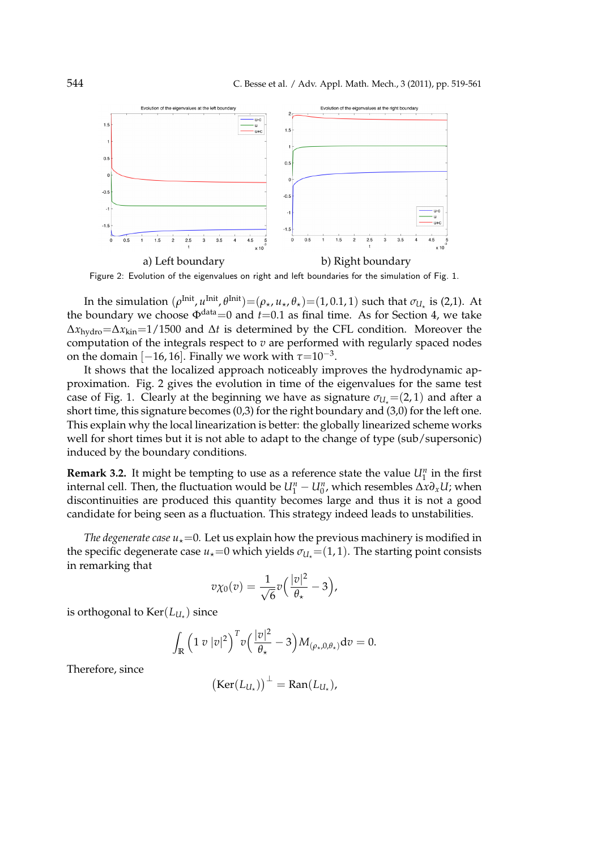

Figure 2: Evolution of the eigenvalues on right and left boundaries for the simulation of Fig. 1.

In the simulation  $(\rho^{\text{Init}}, u^{\text{Init}}, \theta^{\text{Init}}) = (\rho_\star, u_\star, \theta_\star) = (1, 0.1, 1)$  such that  $\sigma_{U_\star}$  is (2,1). At the boundary we choose  $\Phi^{\text{data}}=0$  and  $t=0.1$  as final time. As for Section 4, we take ∆*x*hydro=∆*x*kin=1/1500 and ∆*t* is determined by the CFL condition. Moreover the computation of the integrals respect to *v* are performed with regularly spaced nodes on the domain  $[-16, 16]$ . Finally we work with  $\tau$ =10<sup>-3</sup>.

It shows that the localized approach noticeably improves the hydrodynamic approximation. Fig. 2 gives the evolution in time of the eigenvalues for the same test case of Fig. 1. Clearly at the beginning we have as signature  $\sigma_{U}$  = (2, 1) and after a short time, this signature becomes (0,3) for the right boundary and (3,0) for the left one. This explain why the local linearization is better: the globally linearized scheme works well for short times but it is not able to adapt to the change of type (sub/supersonic) induced by the boundary conditions.

**Remark 3.2.** It might be tempting to use as a reference state the value  $U_1^n$  in the first internal cell. Then, the fluctuation would be  $U_1^n - U_0^n$ , which resembles  $\Delta x \partial_x U$ ; when discontinuities are produced this quantity becomes large and thus it is not a good candidate for being seen as a fluctuation. This strategy indeed leads to unstabilities.

*The degenerate case*  $u_{\star}=0$ . Let us explain how the previous machinery is modified in the specific degenerate case  $u_{\star}=0$  which yields  $\sigma_{U_{\star}}=(1,1)$ . The starting point consists in remarking that

$$
v\chi_0(v)=\frac{1}{\sqrt{6}}v\Big(\frac{|v|^2}{\theta_\star}-3\Big),\,
$$

is orthogonal to  $\text{Ker}(L_{U_{\star}})$  since

$$
\int_{\mathbb{R}} \left(1 \, v \, |v|^2\right)^T v \left(\frac{|v|^2}{\theta_\star} - 3\right) M_{(\rho_\star, 0, \theta_\star)} dv = 0.
$$

Therefore, since

$$
(\text{Ker}(L_{U_\star}))^{\perp} = \text{Ran}(L_{U_\star}),
$$

(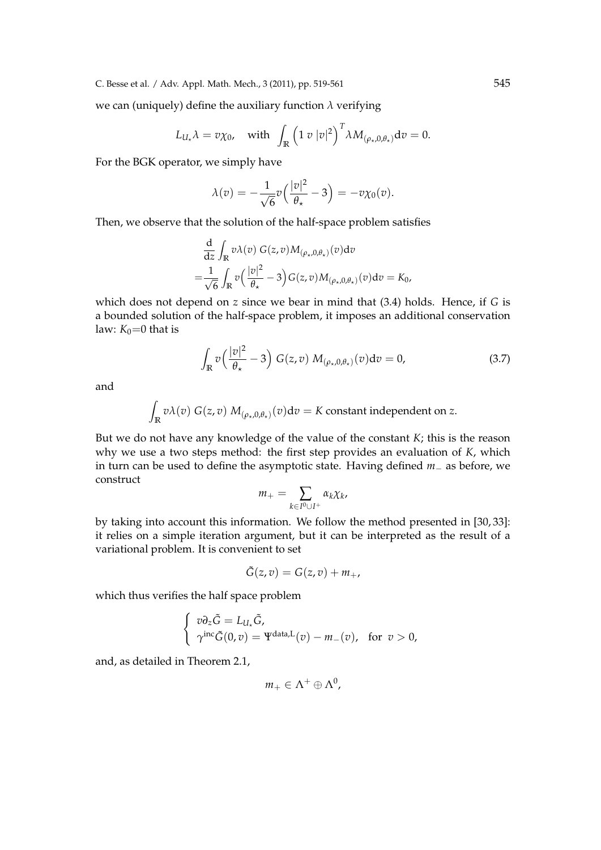we can (uniquely) define the auxiliary function  $\lambda$  verifying

$$
L_{U_{\star}}\lambda = v\chi_0, \quad \text{with} \ \int_{\mathbb{R}} \left(1 \ v \ |v|^2\right)^T \lambda M_{(\rho_{\star},0,\theta_{\star})} \mathrm{d}v = 0.
$$

For the BGK operator, we simply have

$$
\lambda(v) = -\frac{1}{\sqrt{6}}v\left(\frac{|v|^2}{\theta_\star} - 3\right) = -v\chi_0(v).
$$

Then, we observe that the solution of the half-space problem satisfies

$$
\frac{\mathrm{d}}{\mathrm{d}z} \int_{\mathbb{R}} v \lambda(v) G(z, v) M_{(\rho_{\star}, 0, \theta_{\star})}(v) \mathrm{d}v
$$
\n
$$
= \frac{1}{\sqrt{6}} \int_{\mathbb{R}} v \left( \frac{|v|^2}{\theta_{\star}} - 3 \right) G(z, v) M_{(\rho_{\star}, 0, \theta_{\star})}(v) \mathrm{d}v = K_0,
$$

which does not depend on *z* since we bear in mind that (3.4) holds. Hence, if *G* is a bounded solution of the half-space problem, it imposes an additional conservation law:  $K_0=0$  that is

$$
\int_{\mathbb{R}} v\left(\frac{|v|^2}{\theta_\star} - 3\right) G(z, v) M_{(\rho_\star, 0, \theta_\star)}(v) dv = 0,
$$
\n(3.7)

and

$$
\int_{\mathbb{R}} v \lambda(v) G(z, v) M_{(\rho_{\star}, 0, \theta_{\star})}(v) dv = K
$$
 constant independent on z.

But we do not have any knowledge of the value of the constant *K*; this is the reason why we use a two steps method: the first step provides an evaluation of *K*, which in turn can be used to define the asymptotic state. Having defined *m−* as before, we construct

$$
m_+=\sum_{k\in I^0\cup I^+}\alpha_k\chi_k,
$$

by taking into account this information. We follow the method presented in [30, 33]: it relies on a simple iteration argument, but it can be interpreted as the result of a variational problem. It is convenient to set

$$
\tilde{G}(z,v) = G(z,v) + m_+,
$$

which thus verifies the half space problem

$$
\begin{cases}\n v \partial_z \tilde{G} = L_{U_*} \tilde{G}, \\
 \gamma^{\text{inc}} \tilde{G}(0, v) = \Psi^{\text{data}, L}(v) - m_-(v), \text{ for } v > 0,\n\end{cases}
$$

and, as detailed in Theorem 2.1,

$$
m_+\in \Lambda^+\oplus \Lambda^0,
$$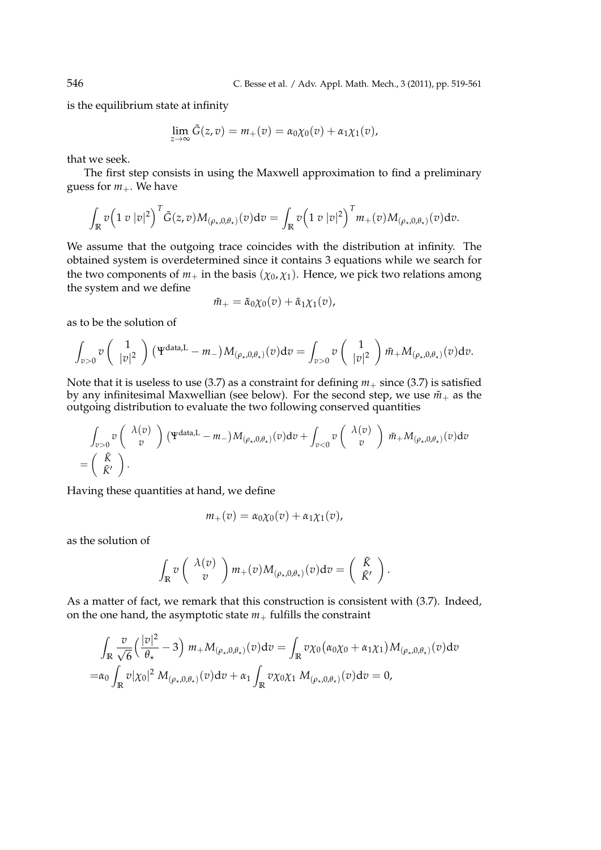is the equilibrium state at infinity

$$
\lim_{z \to \infty} \tilde{G}(z, v) = m_+(v) = \alpha_0 \chi_0(v) + \alpha_1 \chi_1(v),
$$

that we seek.

The first step consists in using the Maxwell approximation to find a preliminary guess for  $m_+$ . We have

$$
\int_{\mathbb{R}} v \Big(1\,v\,|v|^2\Big)^T \tilde{G}(z,v) M_{(\rho_\star,0,\theta_\star)}(v) dv = \int_{\mathbb{R}} v \Big(1\,v\,|v|^2\Big)^T m_+(v) M_{(\rho_\star,0,\theta_\star)}(v) dv.
$$

We assume that the outgoing trace coincides with the distribution at infinity. The obtained system is overdetermined since it contains 3 equations while we search for the two components of  $m_+$  in the basis ( $\chi_0$ ,  $\chi_1$ ). Hence, we pick two relations among the system and we define

$$
\tilde{m}_+ = \tilde{\alpha}_0 \chi_0(v) + \tilde{\alpha}_1 \chi_1(v),
$$

as to be the solution of

$$
\int_{v>0} v\left(\begin{array}{c}1\\|v|^2\end{array}\right) \left(\Psi^{\text{data},L}-m_-\right) M_{(\rho_\star,0,\theta_\star)}(v) \mathrm{d}v = \int_{v>0} v\left(\begin{array}{c}1\\|v|^2\end{array}\right) \tilde{m}_+ M_{(\rho_\star,0,\theta_\star)}(v) \mathrm{d}v.
$$

Note that it is useless to use (3.7) as a constraint for defining  $m_+$  since (3.7) is satisfied by any infinitesimal Maxwellian (see below). For the second step, we use  $\tilde{m}_{+}$  as the outgoing distribution to evaluate the two following conserved quantities

$$
\int_{v>0} v\begin{pmatrix} \lambda(v) \\ v \end{pmatrix} (\Psi^{\text{data},L} - m_-) M_{(\rho_\star,0,\theta_\star)}(v) dv + \int_{v<0} v\begin{pmatrix} \lambda(v) \\ v \end{pmatrix} \tilde{m}_+ M_{(\rho_\star,0,\theta_\star)}(v) dv = \begin{pmatrix} \tilde{K} \\ \tilde{K}' \end{pmatrix}.
$$

Having these quantities at hand, we define

$$
m_+(v)=\alpha_0\chi_0(v)+\alpha_1\chi_1(v),
$$

as the solution of

$$
\int_{\mathbb{R}} v\left(\begin{array}{c} \lambda(v) \\ v \end{array}\right) m_+(v) M_{(\rho_*,0,\theta_*)}(v) \mathrm{d} v = \left(\begin{array}{c} \tilde{K} \\ \tilde{K}' \end{array}\right).
$$

As a matter of fact, we remark that this construction is consistent with (3.7). Indeed, on the one hand, the asymptotic state  $m_{+}$  fulfills the constraint

$$
\int_{\mathbb{R}} \frac{v}{\sqrt{6}} \left(\frac{|v|^2}{\theta_\star} - 3\right) m_+ M_{(\rho_\star, 0, \theta_\star)}(v) dv = \int_{\mathbb{R}} v \chi_0 \left(\alpha_0 \chi_0 + \alpha_1 \chi_1\right) M_{(\rho_\star, 0, \theta_\star)}(v) dv \n= \alpha_0 \int_{\mathbb{R}} v |\chi_0|^2 M_{(\rho_\star, 0, \theta_\star)}(v) dv + \alpha_1 \int_{\mathbb{R}} v \chi_0 \chi_1 M_{(\rho_\star, 0, \theta_\star)}(v) dv = 0,
$$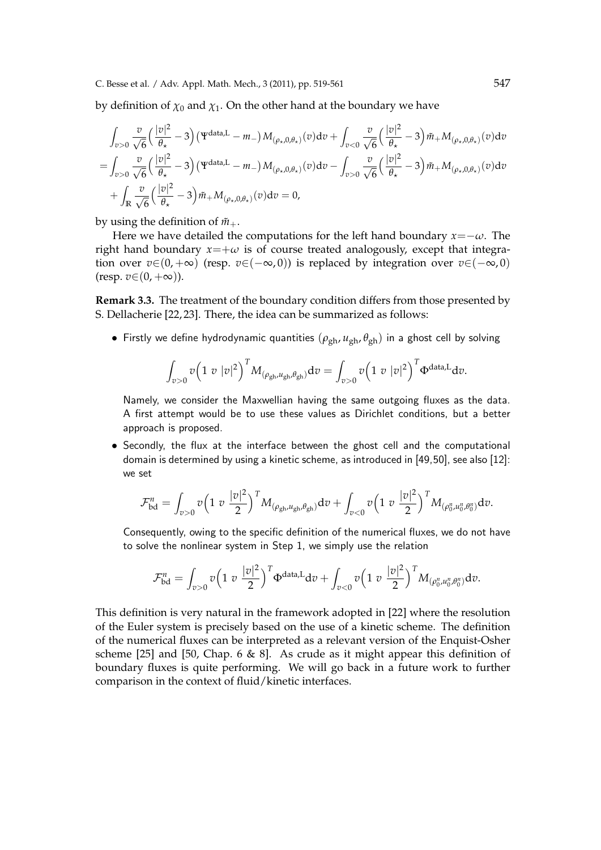by definition of  $\chi_0$  and  $\chi_1$ . On the other hand at the boundary we have

$$
\int_{v>0} \frac{v}{\sqrt{6}} \left(\frac{|v|^2}{\theta_\star} - 3\right) (\Psi^{\text{data},L} - m_-) M_{(\rho_\star,0,\theta_\star)}(v) dv + \int_{v<0} \frac{v}{\sqrt{6}} \left(\frac{|v|^2}{\theta_\star} - 3\right) \tilde{m}_+ M_{(\rho_\star,0,\theta_\star)}(v) dv \n= \int_{v>0} \frac{v}{\sqrt{6}} \left(\frac{|v|^2}{\theta_\star} - 3\right) (\Psi^{\text{data},L} - m_-) M_{(\rho_\star,0,\theta_\star)}(v) dv - \int_{v>0} \frac{v}{\sqrt{6}} \left(\frac{|v|^2}{\theta_\star} - 3\right) \tilde{m}_+ M_{(\rho_\star,0,\theta_\star)}(v) dv \n+ \int_{\mathbb{R}} \frac{v}{\sqrt{6}} \left(\frac{|v|^2}{\theta_\star} - 3\right) \tilde{m}_+ M_{(\rho_\star,0,\theta_\star)}(v) dv = 0,
$$

by using the definition of  $\tilde{m}_{+}$ .

Here we have detailed the computations for the left hand boundary *x*=*−ω*. The right hand boundary  $x = +\omega$  is of course treated analogously, except that integration over  $v \in (0, +\infty)$  (resp.  $v \in (-\infty, 0)$ ) is replaced by integration over  $v \in (-\infty, 0)$  $(resp. v \in (0, +\infty)).$ 

**Remark 3.3.** The treatment of the boundary condition differs from those presented by S. Dellacherie [22, 23]. There, the idea can be summarized as follows:

• Firstly we define hydrodynamic quantities  $(\rho_{gh}, u_{gh}, \theta_{gh})$  in a ghost cell by solving

$$
\int_{v>0} v\Big(1\;v\;|v|^2\Big)^T M_{(\rho_{\text{gh}},u_{\text{gh}},\theta_{\text{gh}})}\text{d}v = \int_{v>0} v\Big(1\;v\;|v|^2\Big)^T \Phi^{\text{data,L}}\text{d}v.
$$

Namely, we consider the Maxwellian having the same outgoing fluxes as the data. A first attempt would be to use these values as Dirichlet conditions, but a better approach is proposed.

*•* Secondly, the flux at the interface between the ghost cell and the computational domain is determined by using a kinetic scheme, as introduced in [49,50], see also [12]: we set

$$
\mathcal{F}^n_{\text{bd}} = \int_{v>0} v \Big( 1\,\,v\,\,\frac{|v|^2}{2} \Big)^{T} M_{(\rho_{\text{gh}}, u_{\text{gh}}, \theta_{\text{gh}})} \text{d}v + \int_{v<0} v \Big( 1\,\,v\,\,\frac{|v|^2}{2} \Big)^{T} M_{(\rho_0^u, u_0^u, \theta_0^u)} \text{d}v.
$$

Consequently, owing to the specific definition of the numerical fluxes, we do not have to solve the nonlinear system in Step 1, we simply use the relation

$$
\mathcal{F}_{\text{bd}}^n = \int_{v>0} v \Big( 1 \ v \ \frac{|v|^2}{2} \Big)^T \Phi^{\text{data},L} dv + \int_{v<0} v \Big( 1 \ v \ \frac{|v|^2}{2} \Big)^T M_{(\rho_0^n, u_0^n, \theta_0^n)} dv.
$$

This definition is very natural in the framework adopted in [22] where the resolution of the Euler system is precisely based on the use of a kinetic scheme. The definition of the numerical fluxes can be interpreted as a relevant version of the Enquist-Osher scheme [25] and [50, Chap. 6 & 8]. As crude as it might appear this definition of boundary fluxes is quite performing. We will go back in a future work to further comparison in the context of fluid/kinetic interfaces.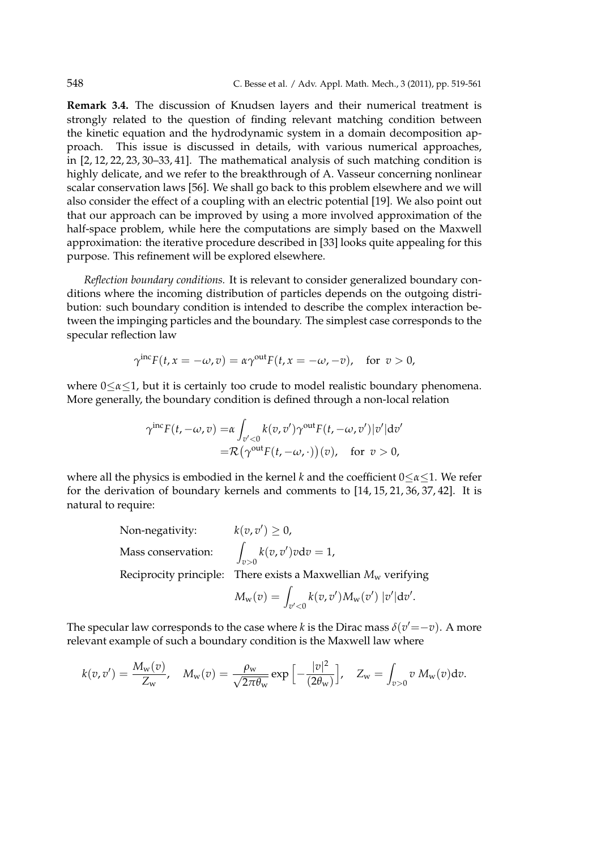**Remark 3.4.** The discussion of Knudsen layers and their numerical treatment is strongly related to the question of finding relevant matching condition between the kinetic equation and the hydrodynamic system in a domain decomposition approach. This issue is discussed in details, with various numerical approaches, in [2, 12, 22, 23, 30–33, 41]. The mathematical analysis of such matching condition is highly delicate, and we refer to the breakthrough of A. Vasseur concerning nonlinear scalar conservation laws [56]. We shall go back to this problem elsewhere and we will also consider the effect of a coupling with an electric potential [19]. We also point out that our approach can be improved by using a more involved approximation of the half-space problem, while here the computations are simply based on the Maxwell approximation: the iterative procedure described in [33] looks quite appealing for this purpose. This refinement will be explored elsewhere.

*Reflection boundary conditions.* It is relevant to consider generalized boundary conditions where the incoming distribution of particles depends on the outgoing distribution: such boundary condition is intended to describe the complex interaction between the impinging particles and the boundary. The simplest case corresponds to the specular reflection law

$$
\gamma^{\text{inc}} F(t, x = -\omega, v) = \alpha \gamma^{\text{out}} F(t, x = -\omega, -v), \text{ for } v > 0,
$$

where 0*≤α≤*1, but it is certainly too crude to model realistic boundary phenomena. More generally, the boundary condition is defined through a non-local relation

$$
\gamma^{\text{inc}}F(t, -\omega, v) = \alpha \int_{v' < 0} k(v, v') \gamma^{\text{out}} F(t, -\omega, v') |v'| \, \text{d}v' \n= \mathcal{R} \big( \gamma^{\text{out}} F(t, -\omega, \cdot) \big) (v), \quad \text{for } v > 0,
$$

where all the physics is embodied in the kernel *k* and the coefficient 0*≤α≤*1. We refer for the derivation of boundary kernels and comments to [14, 15, 21, 36, 37, 42]. It is natural to require:

Non-negativity: 
$$
k(v, v') \ge 0
$$
,  
Mass conservation:  $\int_{v>0} k(v, v')v dv = 1$ ,  
Reciprocity principle: There exists a Maxwellian  $M_w$  verifying

$$
M_{\rm w}(v)=\int_{v'<0}k(v,v')M_{\rm w}(v')\,|v'|\mathrm{d} v'.
$$

The specular law corresponds to the case where *k* is the Dirac mass  $\delta(v' = -v)$ . A more relevant example of such a boundary condition is the Maxwell law where

$$
k(v,v') = \frac{M_{\rm w}(v)}{Z_{\rm w}}, \quad M_{\rm w}(v) = \frac{\rho_{\rm w}}{\sqrt{2\pi\theta_{\rm w}}}\exp\left[-\frac{|v|^2}{(2\theta_{\rm w})}\right], \quad Z_{\rm w} = \int_{v>0} v\,M_{\rm w}(v)\mathrm{d}v.
$$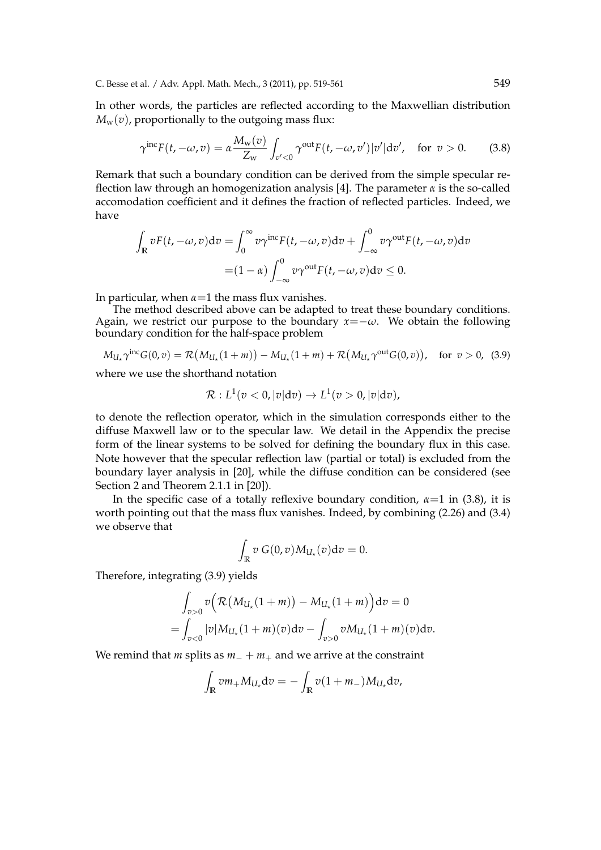C. Besse et al. / Adv. Appl. Math. Mech., 3 (2011), pp. 519-561 549

In other words, the particles are reflected according to the Maxwellian distribution  $M_w(v)$ , proportionally to the outgoing mass flux:

$$
\gamma^{\text{inc}}F(t, -\omega, v) = \alpha \frac{M_{\text{w}}(v)}{Z_{\text{w}}} \int_{v' < 0} \gamma^{\text{out}} F(t, -\omega, v') |v'| \, \text{d}v', \quad \text{for } v > 0. \tag{3.8}
$$

Remark that such a boundary condition can be derived from the simple specular reflection law through an homogenization analysis [4]. The parameter *α* is the so-called accomodation coefficient and it defines the fraction of reflected particles. Indeed, we have

$$
\int_{\mathbb{R}} vF(t, -\omega, v)dv = \int_0^{\infty} v\gamma^{\text{inc}} F(t, -\omega, v)dv + \int_{-\infty}^0 v\gamma^{\text{out}} F(t, -\omega, v)dv
$$

$$
= (1 - \alpha) \int_{-\infty}^0 v\gamma^{\text{out}} F(t, -\omega, v)dv \le 0.
$$

In particular, when  $\alpha = 1$  the mass flux vanishes.

The method described above can be adapted to treat these boundary conditions. Again, we restrict our purpose to the boundary  $x = -\omega$ . We obtain the following boundary condition for the half-space problem

$$
M_{U_{\star}}\gamma^{\text{inc}}G(0,v) = \mathcal{R}(M_{U_{\star}}(1+m)) - M_{U_{\star}}(1+m) + \mathcal{R}(M_{U_{\star}}\gamma^{\text{out}}G(0,v)), \text{ for } v > 0, (3.9)
$$

where we use the shorthand notation

$$
\mathcal{R}:L^1(v<0,|v|\mathrm{d}v)\to L^1(v>0,|v|\mathrm{d}v),
$$

to denote the reflection operator, which in the simulation corresponds either to the diffuse Maxwell law or to the specular law. We detail in the Appendix the precise form of the linear systems to be solved for defining the boundary flux in this case. Note however that the specular reflection law (partial or total) is excluded from the boundary layer analysis in [20], while the diffuse condition can be considered (see Section 2 and Theorem 2.1.1 in [20]).

In the specific case of a totally reflexive boundary condition,  $\alpha=1$  in (3.8), it is worth pointing out that the mass flux vanishes. Indeed, by combining (2.26) and (3.4) we observe that

$$
\int_{\mathbb{R}} v \ G(0,v) M_{U_{\star}}(v) \mathrm{d}v = 0.
$$

Therefore, integrating (3.9) yields

$$
\int_{v>0} v \Big( \mathcal{R} (M_{U_{\star}}(1+m)) - M_{U_{\star}}(1+m) \Big) dv = 0
$$
  
= 
$$
\int_{v<0} |v| M_{U_{\star}}(1+m)(v) dv - \int_{v>0} v M_{U_{\star}}(1+m)(v) dv.
$$

We remind that *m* splits as  $m$ <sup>*−*</sup> +  $m$ <sup>*+*</sup> and we arrive at the constraint

$$
\int_{\mathbb{R}} v m_+ M_{U_\star} \mathrm{d}v = - \int_{\mathbb{R}} v (1 + m_-) M_{U_\star} \mathrm{d}v,
$$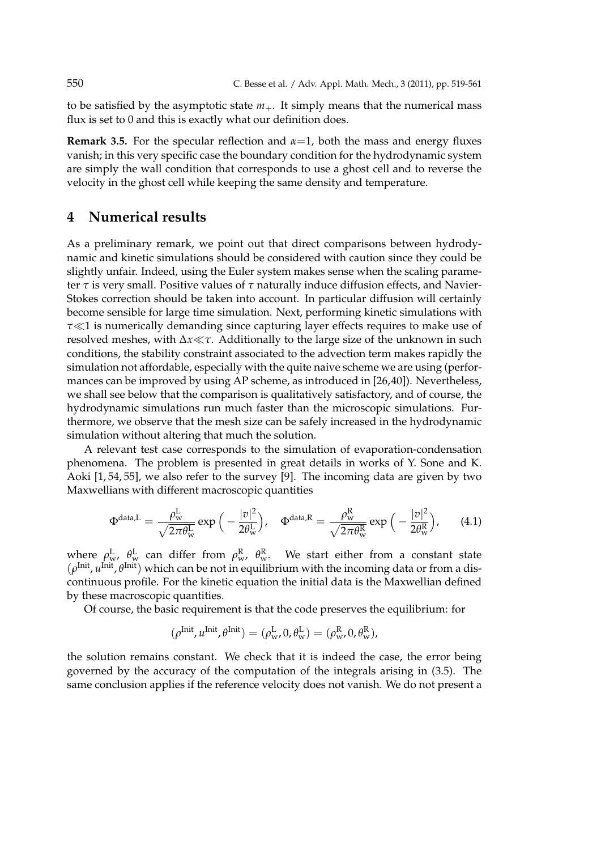to be satisfied by the asymptotic state  $m_+$ . It simply means that the numerical mass flux is set to 0 and this is exactly what our definition does.

**Remark 3.5.** For the specular reflection and  $\alpha=1$ , both the mass and energy fluxes vanish; in this very specific case the boundary condition for the hydrodynamic system are simply the wall condition that corresponds to use a ghost cell and to reverse the velocity in the ghost cell while keeping the same density and temperature.

## **4 Numerical results**

As a preliminary remark, we point out that direct comparisons between hydrodynamic and kinetic simulations should be considered with caution since they could be slightly unfair. Indeed, using the Euler system makes sense when the scaling parameter *τ* is very small. Positive values of *τ* naturally induce diffusion effects, and Navier-Stokes correction should be taken into account. In particular diffusion will certainly become sensible for large time simulation. Next, performing kinetic simulations with *τ≪*1 is numerically demanding since capturing layer effects requires to make use of resolved meshes, with ∆*x≪τ*. Additionally to the large size of the unknown in such conditions, the stability constraint associated to the advection term makes rapidly the simulation not affordable, especially with the quite naive scheme we are using (performances can be improved by using AP scheme, as introduced in [26,40]). Nevertheless, we shall see below that the comparison is qualitatively satisfactory, and of course, the hydrodynamic simulations run much faster than the microscopic simulations. Furthermore, we observe that the mesh size can be safely increased in the hydrodynamic simulation without altering that much the solution.

A relevant test case corresponds to the simulation of evaporation-condensation phenomena. The problem is presented in great details in works of Y. Sone and K. Aoki [1, 54, 55], we also refer to the survey [9]. The incoming data are given by two Maxwellians with different macroscopic quantities

$$
\Phi^{\text{data,L}} = \frac{\rho_{\text{w}}^{\text{L}}}{\sqrt{2\pi\theta_{\text{w}}^{\text{L}}}} \exp\left(-\frac{|v|^2}{2\theta_{\text{w}}^{\text{L}}}\right), \quad \Phi^{\text{data,R}} = \frac{\rho_{\text{w}}^{\text{R}}}{\sqrt{2\pi\theta_{\text{w}}^{\text{R}}}} \exp\left(-\frac{|v|^2}{2\theta_{\text{w}}^{\text{R}}}\right), \quad (4.1)
$$

where  $ρ_w^L$ ,  $θ_w^L$  can differ from  $ρ_w^R$ ,  $θ_w^R$ . We start either from a constant state (*ρ*<sup>Init</sup>, *u*<sup>Init</sup>, θ<sup>Init</sup>) which can be not in equilibrium with the incoming data or from a discontinuous profile. For the kinetic equation the initial data is the Maxwellian defined by these macroscopic quantities.

Of course, the basic requirement is that the code preserves the equilibrium: for

$$
(\rho^{\text{Init}}, u^{\text{Init}}, \theta^{\text{Init}}) = (\rho^{\text{L}}_{w}, 0, \theta^{\text{L}}_{w}) = (\rho^{\text{R}}_{w}, 0, \theta^{\text{R}}_{w}),
$$

the solution remains constant. We check that it is indeed the case, the error being governed by the accuracy of the computation of the integrals arising in (3.5). The same conclusion applies if the reference velocity does not vanish. We do not present a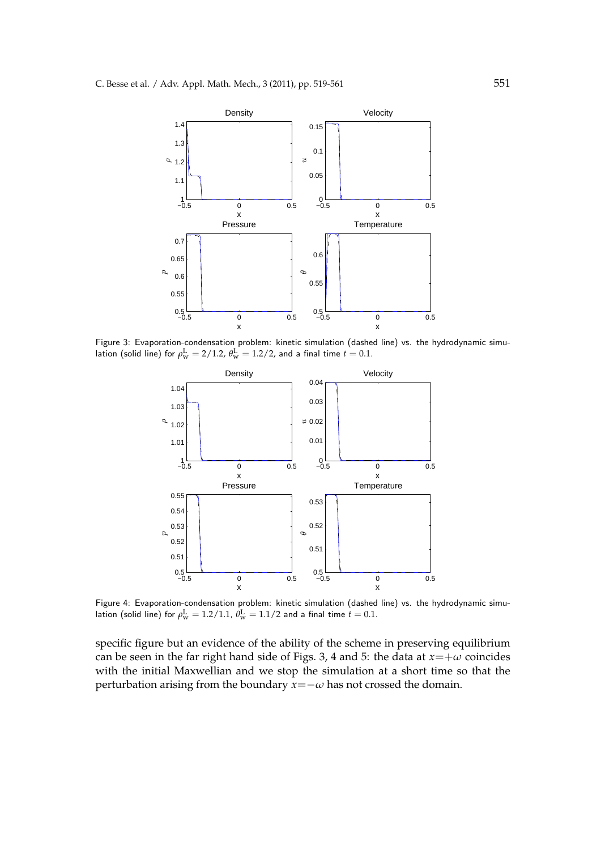

Figure 3: Evaporation-condensation problem: kinetic simulation (dashed line) vs. the hydrodynamic simulation (solid line) for  $\rho_{\rm w}^{\rm L} = 2/1.2$ ,  $\theta_{\rm w}^{\rm L} = 1.2/2$ , and a final time  $t=0.1$ .



Figure 4: Evaporation-condensation problem: kinetic simulation (dashed line) vs. the hydrodynamic simulation (solid line) for  $\rho_{\rm w}^{\rm L} = 1.2/1.1$ ,  $\theta_{\rm w}^{\rm L} = 1.1/2$  and a final time  $t=0.1$ .

specific figure but an evidence of the ability of the scheme in preserving equilibrium can be seen in the far right hand side of Figs. 3, 4 and 5: the data at  $x=+\omega$  coincides with the initial Maxwellian and we stop the simulation at a short time so that the perturbation arising from the boundary  $x = -\omega$  has not crossed the domain.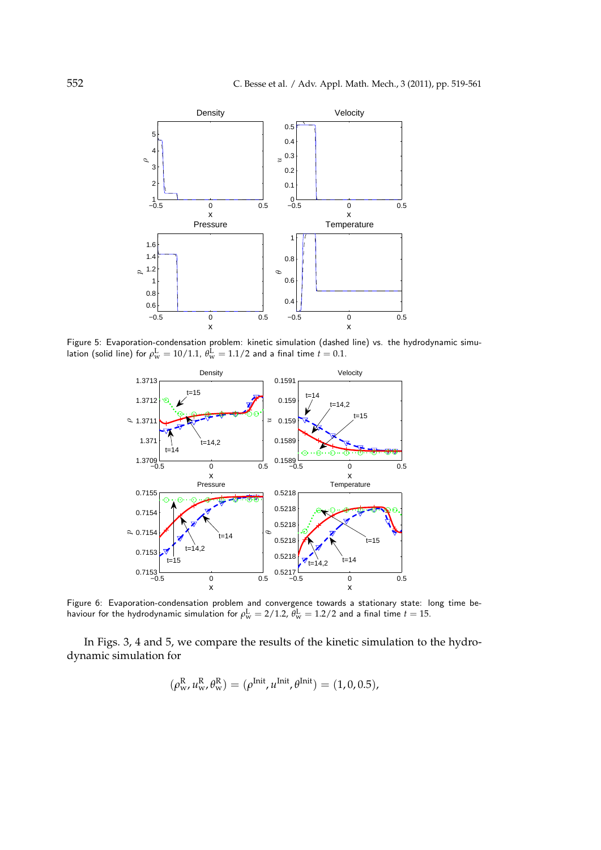

Figure 5: Evaporation-condensation problem: kinetic simulation (dashed line) vs. the hydrodynamic simulation (solid line) for  $\rho_{\rm w}^{\rm L} = 10/1.1$ ,  $\theta_{\rm w}^{\rm L} = 1.1/2$  and a final time  $t=0.1$ .



Figure 6: Evaporation-condensation problem and convergence towards a stationary state: long time behaviour for the hydrodynamic simulation for  $\rho_\mathrm{w}^\mathrm{L} = 2/1.2$ ,  $\theta_\mathrm{w}^\mathrm{L} = 1.2/2$  and a final time  $t=15$ .

In Figs. 3, 4 and 5, we compare the results of the kinetic simulation to the hydrodynamic simulation for

$$
(\rho_{\rm w}^{\rm R}, u_{\rm w}^{\rm R}, \theta_{\rm w}^{\rm R}) = (\rho^{\rm init}, u^{\rm init}, \theta^{\rm init}) = (1, 0, 0.5),
$$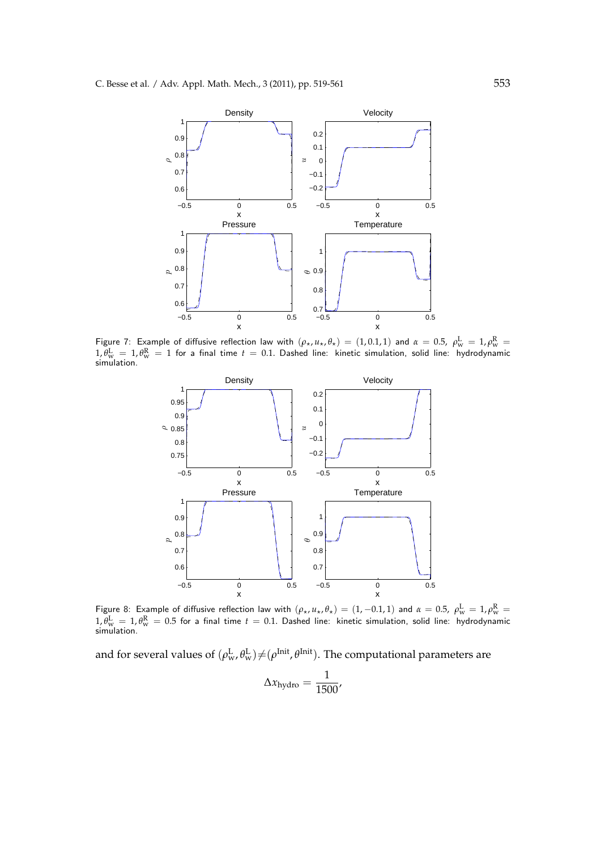

Figure 7: Example of diffusive reflection law with  $(\rho_\star, u_\star, \theta_\star) = (1, 0.1, 1)$  and  $\alpha = 0.5$ ,  $\rho_{\rm w}^{\rm L} = 1$ ,  $\rho_{\rm w}^{\rm R} =$  $1, \theta_{\rm w}^{\rm L} = 1, \theta_{\rm w}^{\rm R} = 1$  for a final time  $t=0.1$ . Dashed line: kinetic simulation, solid line: hydrodynamic<br>simulation.



Figure 8: Example of diffusive reflection law with  $(\rho_\star, u_\star, \theta_\star) = (1, -0.1, 1)$  and  $\alpha = 0.5$ ,  $\rho_{\rm w}^{\rm L} = 1$ ,  $\rho_{\rm w}^{\rm R} =$  $1$ ,  $\theta_{\rm w}^{\rm L} = 1$ ,  $\theta_{\rm w}^{\rm R} = 0.5$  for a final time  $t=0.1$ . Dashed line: kinetic simulation, solid line: hydrodynamic<br>simulation.

and for several values of  $(\rho_w^L, \theta_w^L) \neq (\rho^{Init}, \theta^{Init})$ . The computational parameters are

$$
\Delta x_{\text{hydro}} = \frac{1}{1500'}
$$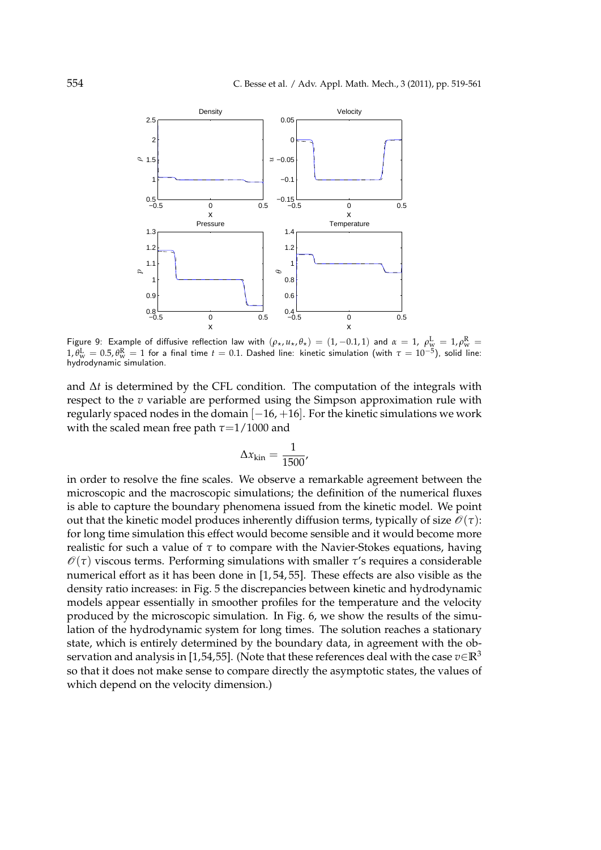

Figure 9: Example of diffusive reflection law with  $(\rho_\star, u_\star, \theta_\star) = (1, -0.1, 1)$  and  $\alpha = 1$ ,  $\rho_{\rm w}^{\rm L} = 1$ ,  $\rho_{\rm w}^{\rm R} = 1$  $1, \theta_{\rm w}^{\rm L}=0.5, \theta_{\rm w}^{\rm R}=1$  for a final time  $t=0.1$ . Dashed line: kinetic simulation (with  $\tau=10^{-5}$ ), solid line: hydrodynamic simulation.

and ∆*t* is determined by the CFL condition. The computation of the integrals with respect to the *v* variable are performed using the Simpson approximation rule with regularly spaced nodes in the domain [*−*16, +16]. For the kinetic simulations we work with the scaled mean free path *τ*=1/1000 and

$$
\Delta x_{\rm kin} = \frac{1}{1500}
$$

in order to resolve the fine scales. We observe a remarkable agreement between the microscopic and the macroscopic simulations; the definition of the numerical fluxes is able to capture the boundary phenomena issued from the kinetic model. We point out that the kinetic model produces inherently diffusion terms, typically of size  $\mathcal{O}(\tau)$ : for long time simulation this effect would become sensible and it would become more realistic for such a value of *τ* to compare with the Navier-Stokes equations, having  $\mathcal{O}(\tau)$  viscous terms. Performing simulations with smaller  $\tau$ 's requires a considerable numerical effort as it has been done in [1, 54, 55]. These effects are also visible as the density ratio increases: in Fig. 5 the discrepancies between kinetic and hydrodynamic models appear essentially in smoother profiles for the temperature and the velocity produced by the microscopic simulation. In Fig. 6, we show the results of the simulation of the hydrodynamic system for long times. The solution reaches a stationary state, which is entirely determined by the boundary data, in agreement with the observation and analysis in [1,54,55]. (Note that these references deal with the case  $v \in \mathbb{R}^3$ so that it does not make sense to compare directly the asymptotic states, the values of which depend on the velocity dimension.)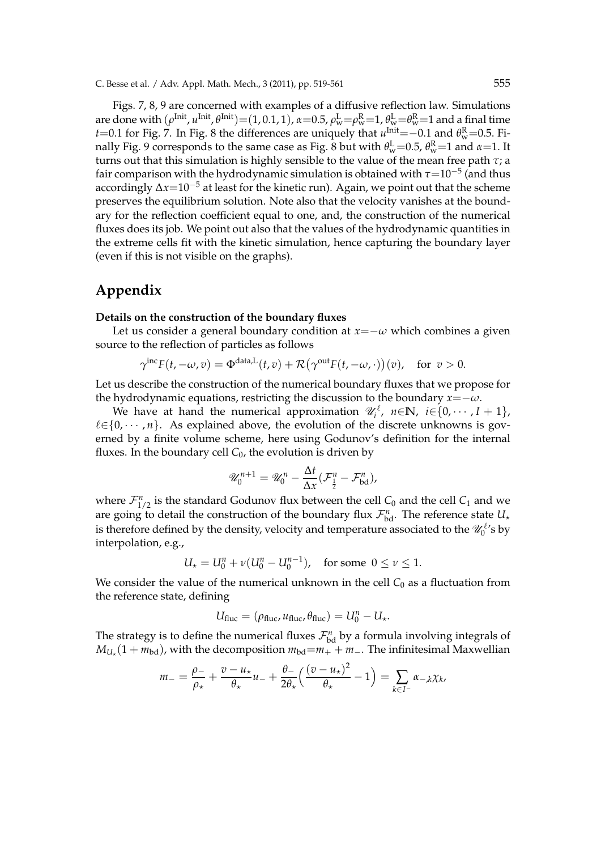Figs. 7, 8, 9 are concerned with examples of a diffusive reflection law. Simulations are done with  $(\rho^{\rm{Init}}, u^{\rm{Init}}, \theta^{\rm{Init}}){=}(1,0.1,1)$ ,  $\alpha{=}0.5$ ,  $\rho^{\rm{L}}_{\rm{w}}{=}\rho^{\rm{R}}_{\rm{w}}{=}1$ ,  $\theta^{\rm{L}}_{\rm{w}}{=}\theta^{\rm{R}}_{\rm{w}}{=}1$  and a final time *t*=0.1 for Fig. 7. In Fig. 8 the differences are uniquely that  $u^{\text{Init}}$  =−0.1 and  $\theta_{\text{w}}^{\text{R}}$ =0.5. Finally Fig. 9 corresponds to the same case as Fig. 8 but with  $\theta_{\rm w}^{\rm L}\text{=}$ 0.5,  $\theta_{\rm w}^{\rm R}\text{=}$ 1 and  $\alpha\text{=}$ 1. It turns out that this simulation is highly sensible to the value of the mean free path *τ*; a fair comparison with the hydrodynamic simulation is obtained with *τ*=10*−*<sup>5</sup> (and thus accordingly ∆*x*=10*−*<sup>5</sup> at least for the kinetic run). Again, we point out that the scheme preserves the equilibrium solution. Note also that the velocity vanishes at the boundary for the reflection coefficient equal to one, and, the construction of the numerical fluxes does its job. We point out also that the values of the hydrodynamic quantities in the extreme cells fit with the kinetic simulation, hence capturing the boundary layer (even if this is not visible on the graphs).

# **Appendix**

#### **Details on the construction of the boundary fluxes**

Let us consider a general boundary condition at  $x = -\omega$  which combines a given source to the reflection of particles as follows

$$
\gamma^{\text{inc}} F(t, -\omega, v) = \Phi^{\text{data},L}(t, v) + \mathcal{R}(\gamma^{\text{out}} F(t, -\omega, \cdot))(v), \quad \text{for } v > 0.
$$

Let us describe the construction of the numerical boundary fluxes that we propose for the hydrodynamic equations, restricting the discussion to the boundary  $x = -\omega$ .

We have at hand the numerical approximation  $\mathscr{U}_i^{\ell}$ ,  $n \in \mathbb{N}$ ,  $i \in \{0, \cdots, I+1\}$ ,  $l \in \{0, \dots, n\}$ . As explained above, the evolution of the discrete unknowns is governed by a finite volume scheme, here using Godunov's definition for the internal fluxes. In the boundary cell  $C_0$ , the evolution is driven by

$$
\mathscr{U}_0^{n+1} = \mathscr{U}_0^n - \frac{\Delta t}{\Delta x} (\mathcal{F}_\frac{1}{2}^n - \mathcal{F}_{\text{bd}}^n),
$$

where  $\mathcal{F}_{1/2}^n$  is the standard Godunov flux between the cell  $C_0$  and the cell  $C_1$  and we are going to detail the construction of the boundary flux  $\mathcal{F}_{\text{bd}}^n$ . The reference state  $U_{\star}$ is therefore defined by the density, velocity and temperature associated to the  $\mathscr{U}^{\ell}_{0}$ 's by interpolation, e.g.,

$$
U_{\star} = U_0^n + \nu (U_0^n - U_0^{n-1}), \text{ for some } 0 \le \nu \le 1.
$$

We consider the value of the numerical unknown in the cell  $C_0$  as a fluctuation from the reference state, defining

$$
U_{\text{fluc}} = (\rho_{\text{fluc}}, u_{\text{fluc}}, \theta_{\text{fluc}}) = U_0^n - U_{\star}.
$$

The strategy is to define the numerical fluxes  $\mathcal{F}_{bd}^n$  by a formula involving integrals of  $M_{U_{\star}}(1+m_{\text{bd}})$ , with the decomposition  $m_{\text{bd}}=m_++m_-$ . The infinitesimal Maxwellian

$$
m_{-} = \frac{\rho_{-}}{\rho_{\star}} + \frac{v - u_{\star}}{\theta_{\star}} u_{-} + \frac{\theta_{-}}{2\theta_{\star}} \left( \frac{(v - u_{\star})^2}{\theta_{\star}} - 1 \right) = \sum_{k \in I^{-}} \alpha_{-k} \chi_{k},
$$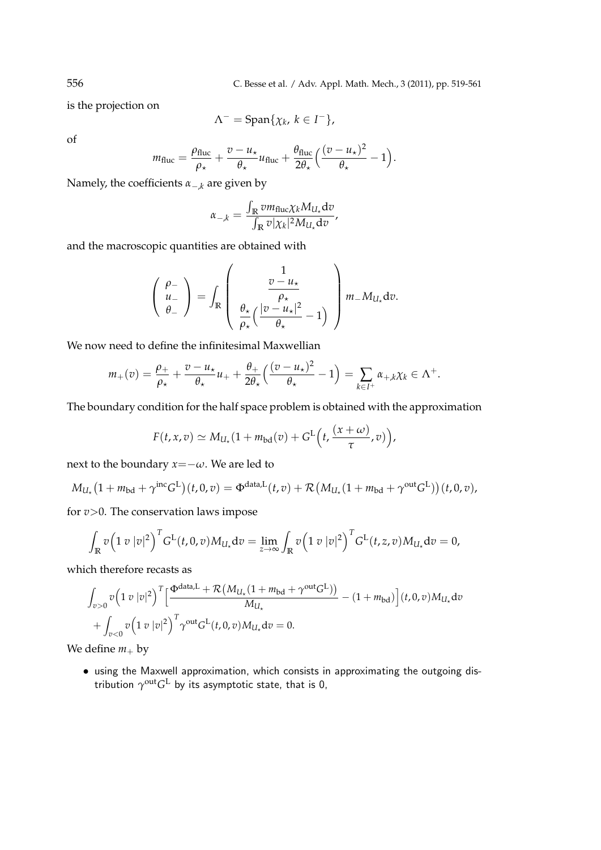556 C. Besse et al. / Adv. Appl. Math. Mech., 3 (2011), pp. 519-561

is the projection on

$$
\Lambda^- = \mathrm{Span}\{\chi_k, \, k \in I^-\},
$$

of

$$
m_{\text{fluc}} = \frac{\rho_{\text{fluc}}}{\rho_{\star}} + \frac{v - u_{\star}}{\theta_{\star}} u_{\text{fluc}} + \frac{\theta_{\text{fluc}}}{2\theta_{\star}} \Big( \frac{(v - u_{\star})^2}{\theta_{\star}} - 1 \Big).
$$

Namely, the coefficients *α−*,*<sup>k</sup>* are given by

$$
\alpha_{-,k} = \frac{\int_{\mathbb{R}} v m_{\text{fluc}} \chi_k M_{U_\star} \text{d}v}{\int_{\mathbb{R}} v |\chi_k|^2 M_{U_\star} \text{d}v},
$$

and the macroscopic quantities are obtained with

$$
\begin{pmatrix}\n\rho_{-} \\
u_{-} \\
\theta_{-}\n\end{pmatrix} = \int_{\mathbb{R}} \begin{pmatrix}\n\frac{v - u_{\star}}{\rho_{\star}} \\
\frac{\theta_{\star}}{\rho_{\star}} \left(\frac{|v - u_{\star}|^{2}}{\rho_{\star}} - 1\right)\n\end{pmatrix} m_{-} M_{U_{\star}} \mathrm{d}v.
$$

We now need to define the infinitesimal Maxwellian

$$
m_+(v)=\frac{\rho_+}{\rho_\star}+\frac{v-u_\star}{\theta_\star}u_++\frac{\theta_+}{2\theta_\star}\Big(\frac{(v-u_\star)^2}{\theta_\star}-1\Big)=\sum_{k\in I^+}\alpha_{+,k}\chi_k\in\Lambda^+.
$$

The boundary condition for the half space problem is obtained with the approximation

$$
F(t, x, v) \simeq M_{U_{\star}}(1 + m_{\text{bd}}(v) + G^{\text{L}}\left(t, \frac{(x + \omega)}{\tau}, v)\right),
$$

next to the boundary  $x = -\omega$ . We are led to

$$
M_{U_{\star}}\big(1+m_{\text{bd}}+\gamma^{\text{inc}}G^{\text{L}}\big)(t,0,v)=\Phi^{\text{data,L}}(t,v)+\mathcal{R}\big(M_{U_{\star}}(1+m_{\text{bd}}+\gamma^{\text{out}}G^{\text{L}})\big)(t,0,v),
$$

for *v>*0. The conservation laws impose

$$
\int_{\mathbb{R}} v \Big( 1 \, v \, |v|^2 \Big)^T G^L(t,0,v) M_{U_\star} dv = \lim_{z \to \infty} \int_{\mathbb{R}} v \Big( 1 \, v \, |v|^2 \Big)^T G^L(t,z,v) M_{U_\star} dv = 0,
$$

which therefore recasts as

$$
\int_{v>0} v \left(1 \ v \ |v|^2\right)^T \left[\frac{\Phi^{\text{data},L} + \mathcal{R}\left(M_{U_\star}(1+m_{\text{bd}} + \gamma^{\text{out}} G^L)\right)}{M_{U_\star}} - (1+m_{\text{bd}})\right](t,0,v)M_{U_\star}dv
$$

$$
+ \int_{v<0} v \left(1 \ v \ |v|^2\right)^T \gamma^{\text{out}} G^L(t,0,v)M_{U_\star}dv = 0.
$$

We define  $m_+$  by

*•* using the Maxwell approximation, which consists in approximating the outgoing distribution  $\gamma^\text{out} G^\text{L}$  by its asymptotic state, that is 0,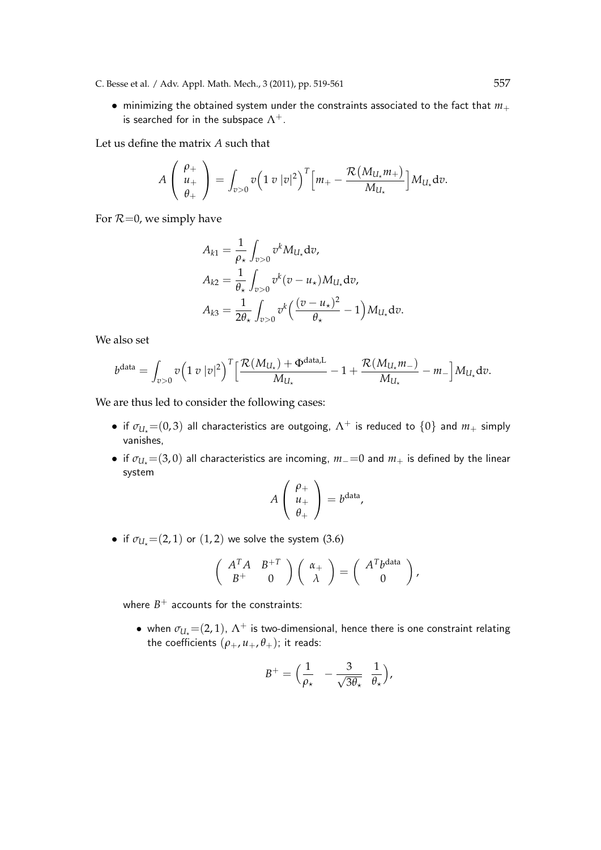- C. Besse et al. / Adv. Appl. Math. Mech., 3 (2011), pp. 519-561 557
	- *•* minimizing the obtained system under the constraints associated to the fact that *m*<sup>+</sup> is searched for in the subspace  $\Lambda^+$ .

Let us define the matrix *A* such that

$$
A\left(\begin{array}{c}\rho_+\\\ u_+\\\theta_+\end{array}\right)=\int_{v>0}v\left(1\ v\ |v|^2\right)^T\left[m_+-\frac{\mathcal{R}\left(M_{U_\star}m_+\right)}{M_{U_\star}}\right]M_{U_\star}dv.
$$

For  $R=0$ , we simply have

$$
A_{k1} = \frac{1}{\rho_{\star}} \int_{v>0} v^{k} M_{U_{\star}} dv,
$$
  
\n
$$
A_{k2} = \frac{1}{\theta_{\star}} \int_{v>0} v^{k} (v - u_{\star}) M_{U_{\star}} dv,
$$
  
\n
$$
A_{k3} = \frac{1}{2\theta_{\star}} \int_{v>0} v^{k} \left(\frac{(v - u_{\star})^{2}}{\theta_{\star}} - 1\right) M_{U_{\star}} dv.
$$

We also set

$$
b^{\text{data}} = \int_{v>0} v \Big( 1 \ v \ |v|^2 \Big)^T \Big[ \frac{\mathcal{R}(M_{U_{\star}}) + \Phi^{\text{data},L}}{M_{U_{\star}}} - 1 + \frac{\mathcal{R}(M_{U_{\star}} m_{-})}{M_{U_{\star}}} - m_{-} \Big] M_{U_{\star}} dv.
$$

We are thus led to consider the following cases:

- if  $\sigma_{U} = (0, 3)$  all characteristics are outgoing,  $\Lambda^+$  is reduced to  $\{0\}$  and  $m_+$  simply vanishes,
- if  $\sigma_{U}$  =(3,0) all characteristics are incoming,  $m$  = 0 and  $m$ <sup>+</sup> is defined by the linear system

$$
A\left(\begin{array}{c}\rho_+\\u_+\\\theta_+\end{array}\right)=b^{\text{data}},
$$

• if  $\sigma_{U_t} = (2, 1)$  or  $(1, 2)$  we solve the system  $(3.6)$ 

$$
\left(\begin{array}{cc} A^T A & B^{+T} \\ B^{+} & 0 \end{array}\right) \left(\begin{array}{c} \alpha_{+} \\ \lambda \end{array}\right) = \left(\begin{array}{c} A^T b^{data} \\ 0 \end{array}\right),
$$

where  $B^+$  accounts for the constraints:

• when  $\sigma_{U_\star}$ =(2,1),  $\Lambda^+$  is two-dimensional, hence there is one constraint relating the coefficients  $(\rho_+, u_+, \theta_+)$ ; it reads:

$$
B^+ = \Big(\frac{1}{\rho_\star} - \frac{3}{\sqrt{3\theta_\star}} \frac{1}{\theta_\star}\Big),
$$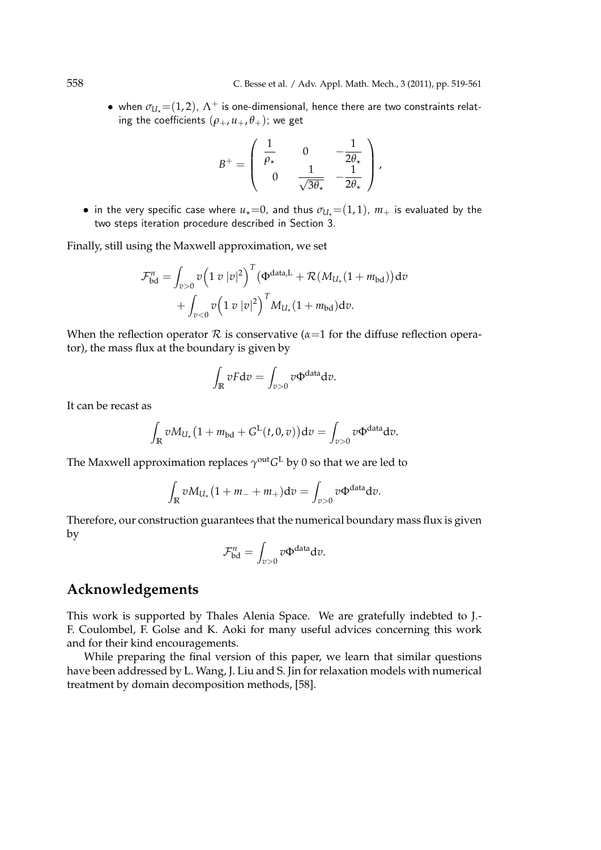• when  $\sigma_{U_{\star}}=(1,2)$ ,  $\Lambda^{+}$  is one-dimensional, hence there are two constraints relating the coefficients  $(\rho_+, u_+, \theta_+)$ ; we get

$$
B^{+} = \left(\begin{array}{ccc} \frac{1}{\rho_{\star}} & 0 & -\frac{1}{2\theta_{\star}} \\ 0 & \frac{1}{\sqrt{3\theta_{\star}}} & -\frac{1}{2\theta_{\star}} \end{array}\right),
$$

• in the very specific case where  $u_*=0$ , and thus  $\sigma_{U_*}=(1,1)$ ,  $m_+$  is evaluated by the two steps iteration procedure described in Section 3.

Finally, still using the Maxwell approximation, we set

$$
\mathcal{F}_{\text{bd}}^{n} = \int_{v>0} v \left( 1 \ v \ |v|^{2} \right)^{T} \left( \Phi^{\text{data},L} + \mathcal{R} (M_{U_{\star}} (1 + m_{\text{bd}})) \, \mathrm{d} v \n+ \int_{v<0} v \left( 1 \ v \ |v|^{2} \right)^{T} M_{U_{\star}} (1 + m_{\text{bd}}) \, \mathrm{d} v.
$$

When the reflection operator  $R$  is conservative ( $\alpha$ =1 for the diffuse reflection operator), the mass flux at the boundary is given by

$$
\int_{\mathbb{R}} v F dv = \int_{v>0} v \Phi^{\text{data}} dv.
$$

It can be recast as

$$
\int_{\mathbb{R}} v M_{U_{\star}} \big(1 + m_{\text{bd}} + G^{\text{L}}(t, 0, v)\big) \mathrm{d}v = \int_{v > 0} v \Phi^{\text{data}} \mathrm{d}v.
$$

The Maxwell approximation replaces  $\gamma^\text{out} G^\text{L}$  by 0 so that we are led to

$$
\int_{\mathbb{R}} v M_{U_{\star}} (1 + m_- + m_+) \mathrm{d}v = \int_{v > 0} v \Phi^{\text{data}} \mathrm{d}v.
$$

Therefore, our construction guarantees that the numerical boundary mass flux is given by

$$
\mathcal{F}_{\text{bd}}^n = \int_{v>0} v \Phi^{\text{data}} \text{d}v.
$$

## **Acknowledgements**

This work is supported by Thales Alenia Space. We are gratefully indebted to J.- F. Coulombel, F. Golse and K. Aoki for many useful advices concerning this work and for their kind encouragements.

While preparing the final version of this paper, we learn that similar questions have been addressed by L. Wang, J. Liu and S. Jin for relaxation models with numerical treatment by domain decomposition methods, [58].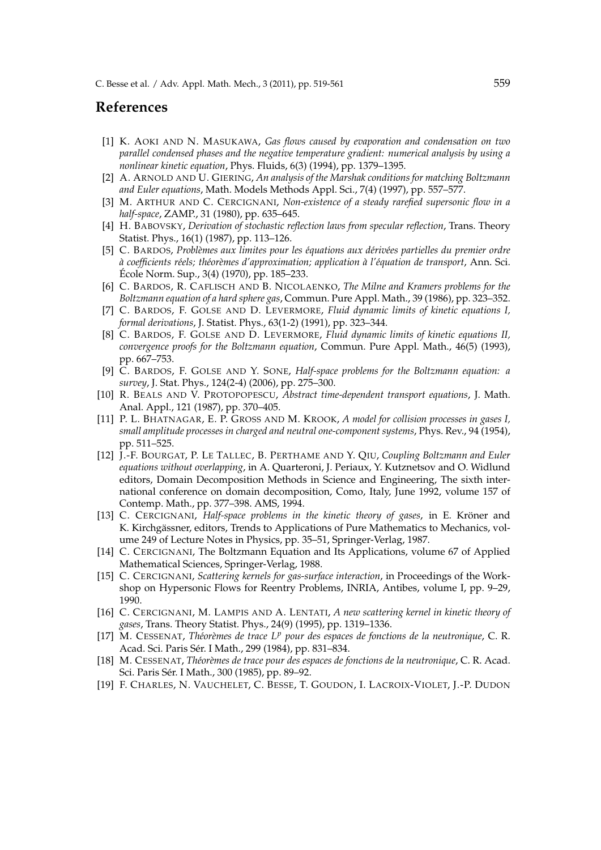### **References**

- [1] K. AOKI AND N. MASUKAWA, *Gas flows caused by evaporation and condensation on two parallel condensed phases and the negative temperature gradient: numerical analysis by using a nonlinear kinetic equation*, Phys. Fluids, 6(3) (1994), pp. 1379–1395.
- [2] A. ARNOLD AND U. GIERING, *An analysis of the Marshak conditions for matching Boltzmann and Euler equations*, Math. Models Methods Appl. Sci., 7(4) (1997), pp. 557–577.
- [3] M. ARTHUR AND C. CERCIGNANI, *Non-existence of a steady rarefied supersonic flow in a half-space*, ZAMP., 31 (1980), pp. 635–645.
- [4] H. BABOVSKY, *Derivation of stochastic reflection laws from specular reflection*, Trans. Theory Statist. Phys., 16(1) (1987), pp. 113–126.
- [5] C. BARDOS, *Probl`emes aux limites pour les ´equations aux d´eriv´ees partielles du premier ordre `a coefficients r´eels; th´eor`emes d'approximation; application `a l'´equation de transport*, Ann. Sci. Ecole Norm. Sup., 3(4) (1970), pp. 185–233. ´
- [6] C. BARDOS, R. CAFLISCH AND B. NICOLAENKO, *The Milne and Kramers problems for the Boltzmann equation of a hard sphere gas*, Commun. Pure Appl. Math., 39 (1986), pp. 323–352.
- [7] C. BARDOS, F. GOLSE AND D. LEVERMORE, *Fluid dynamic limits of kinetic equations I, formal derivations*, J. Statist. Phys., 63(1-2) (1991), pp. 323–344.
- [8] C. BARDOS, F. GOLSE AND D. LEVERMORE, *Fluid dynamic limits of kinetic equations II, convergence proofs for the Boltzmann equation*, Commun. Pure Appl. Math., 46(5) (1993), pp. 667–753.
- [9] C. BARDOS, F. GOLSE AND Y. SONE, *Half-space problems for the Boltzmann equation: a survey*, J. Stat. Phys., 124(2-4) (2006), pp. 275–300.
- [10] R. BEALS AND V. PROTOPOPESCU, *Abstract time-dependent transport equations*, J. Math. Anal. Appl., 121 (1987), pp. 370–405.
- [11] P. L. BHATNAGAR, E. P. GROSS AND M. KROOK, *A model for collision processes in gases I, small amplitude processes in charged and neutral one-component systems*, Phys. Rev., 94 (1954), pp. 511–525.
- [12] J.-F. BOURGAT, P. LE TALLEC, B. PERTHAME AND Y. QIU, *Coupling Boltzmann and Euler equations without overlapping*, in A. Quarteroni, J. Periaux, Y. Kutznetsov and O. Widlund editors, Domain Decomposition Methods in Science and Engineering, The sixth international conference on domain decomposition, Como, Italy, June 1992, volume 157 of Contemp. Math., pp. 377–398. AMS, 1994.
- [13] C. CERCIGNANI, *Half-space problems in the kinetic theory of gases*, in E. Kröner and K. Kirchgässner, editors, Trends to Applications of Pure Mathematics to Mechanics, volume 249 of Lecture Notes in Physics, pp. 35–51, Springer-Verlag, 1987.
- [14] C. CERCIGNANI, The Boltzmann Equation and Its Applications, volume 67 of Applied Mathematical Sciences, Springer-Verlag, 1988.
- [15] C. CERCIGNANI, *Scattering kernels for gas-surface interaction*, in Proceedings of the Workshop on Hypersonic Flows for Reentry Problems, INRIA, Antibes, volume I, pp. 9–29, 1990.
- [16] C. CERCIGNANI, M. LAMPIS AND A. LENTATI, *A new scattering kernel in kinetic theory of gases*, Trans. Theory Statist. Phys., 24(9) (1995), pp. 1319–1336.
- [17] M. CESSENAT, *Th´eor`emes de trace L<sup>p</sup> pour des espaces de fonctions de la neutronique*, C. R. Acad. Sci. Paris Sér. I Math., 299 (1984), pp. 831-834.
- [18] M. CESSENAT, *Th´eor`emes de trace pour des espaces de fonctions de la neutronique*, C. R. Acad. Sci. Paris Sér. I Math., 300 (1985), pp. 89-92.
- [19] F. CHARLES, N. VAUCHELET, C. BESSE, T. GOUDON, I. LACROIX-VIOLET, J.-P. DUDON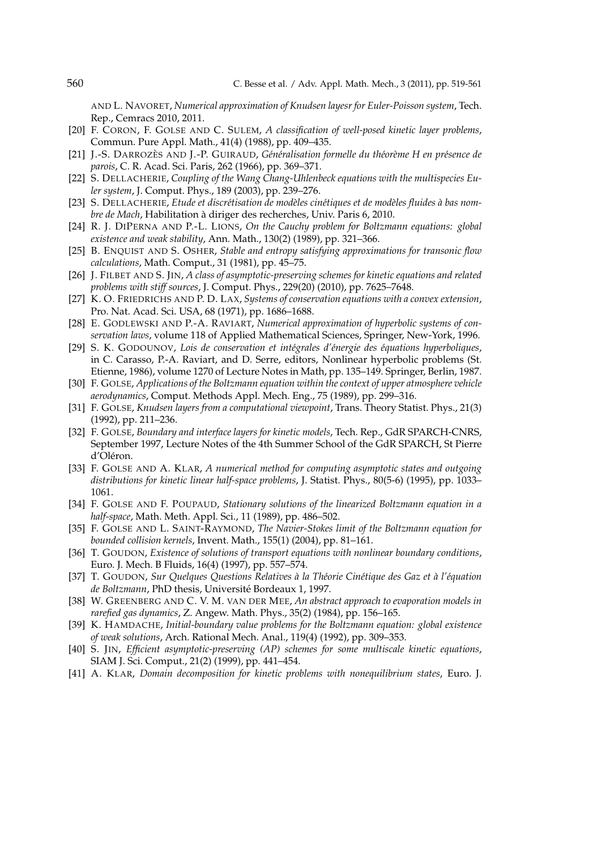AND L. NAVORET, *Numerical approximation of Knudsen layesr for Euler-Poisson system*, Tech. Rep., Cemracs 2010, 2011.

- [20] F. CORON, F. GOLSE AND C. SULEM, *A classification of well-posed kinetic layer problems*, Commun. Pure Appl. Math., 41(4) (1988), pp. 409–435.
- [21] J.-S. DARROZÈS AND J.-P. GUIRAUD, *Généralisation formelle du théorème H en présence de parois*, C. R. Acad. Sci. Paris, 262 (1966), pp. 369–371.
- [22] S. DELLACHERIE, *Coupling of the Wang Chang-Uhlenbeck equations with the multispecies Euler system*, J. Comput. Phys., 189 (2003), pp. 239–276.
- [23] S. DELLACHERIE, *Etude et discrétisation de modèles cinétiques et de modèles fluides à bas nombre de Mach*, Habilitation a diriger des recherches, Univ. Paris 6, 2010. `
- [24] R. J. DIPERNA AND P.-L. LIONS, *On the Cauchy problem for Boltzmann equations: global existence and weak stability*, Ann. Math., 130(2) (1989), pp. 321–366.
- [25] B. ENQUIST AND S. OSHER, *Stable and entropy satisfying approximations for transonic flow calculations*, Math. Comput., 31 (1981), pp. 45–75.
- [26] J. FILBET AND S. JIN, *A class of asymptotic-preserving schemes for kinetic equations and related problems with stiff sources*, J. Comput. Phys., 229(20) (2010), pp. 7625–7648.
- [27] K. O. FRIEDRICHS AND P. D. LAX, *Systems of conservation equations with a convex extension*, Pro. Nat. Acad. Sci. USA, 68 (1971), pp. 1686–1688.
- [28] E. GODLEWSKI AND P.-A. RAVIART, *Numerical approximation of hyperbolic systems of conservation laws*, volume 118 of Applied Mathematical Sciences, Springer, New-York, 1996.
- [29] S. K. GODOUNOV, *Lois de conservation et int´egrales d'´energie des ´equations hyperboliques*, in C. Carasso, P.-A. Raviart, and D. Serre, editors, Nonlinear hyperbolic problems (St. Etienne, 1986), volume 1270 of Lecture Notes in Math, pp. 135–149. Springer, Berlin, 1987.
- [30] F. GOLSE, *Applications of the Boltzmann equation within the context of upper atmosphere vehicle aerodynamics*, Comput. Methods Appl. Mech. Eng., 75 (1989), pp. 299–316.
- [31] F. GOLSE, *Knudsen layers from a computational viewpoint*, Trans. Theory Statist. Phys., 21(3) (1992), pp. 211–236.
- [32] F. GOLSE, *Boundary and interface layers for kinetic models*, Tech. Rep., GdR SPARCH-CNRS, September 1997, Lecture Notes of the 4th Summer School of the GdR SPARCH, St Pierre d'Oléron.
- [33] F. GOLSE AND A. KLAR, *A numerical method for computing asymptotic states and outgoing distributions for kinetic linear half-space problems*, J. Statist. Phys., 80(5-6) (1995), pp. 1033– 1061.
- [34] F. GOLSE AND F. POUPAUD, *Stationary solutions of the linearized Boltzmann equation in a half-space*, Math. Meth. Appl. Sci., 11 (1989), pp. 486–502.
- [35] F. GOLSE AND L. SAINT-RAYMOND, *The Navier-Stokes limit of the Boltzmann equation for bounded collision kernels*, Invent. Math., 155(1) (2004), pp. 81–161.
- [36] T. GOUDON, *Existence of solutions of transport equations with nonlinear boundary conditions*, Euro. J. Mech. B Fluids, 16(4) (1997), pp. 557–574.
- [37] T. GOUDON, *Sur Quelques Questions Relatives `a la Th´eorie Cin´etique des Gaz et `a l'´equation de Boltzmann*, PhD thesis, Universite Bordeaux 1, 1997. ´
- [38] W. GREENBERG AND C. V. M. VAN DER MEE, *An abstract approach to evaporation models in rarefied gas dynamics*, Z. Angew. Math. Phys., 35(2) (1984), pp. 156–165.
- [39] K. HAMDACHE, *Initial-boundary value problems for the Boltzmann equation: global existence of weak solutions*, Arch. Rational Mech. Anal., 119(4) (1992), pp. 309–353.
- [40] S. JIN, *Efficient asymptotic-preserving (AP) schemes for some multiscale kinetic equations*, SIAM J. Sci. Comput., 21(2) (1999), pp. 441–454.
- [41] A. KLAR, *Domain decomposition for kinetic problems with nonequilibrium states*, Euro. J.